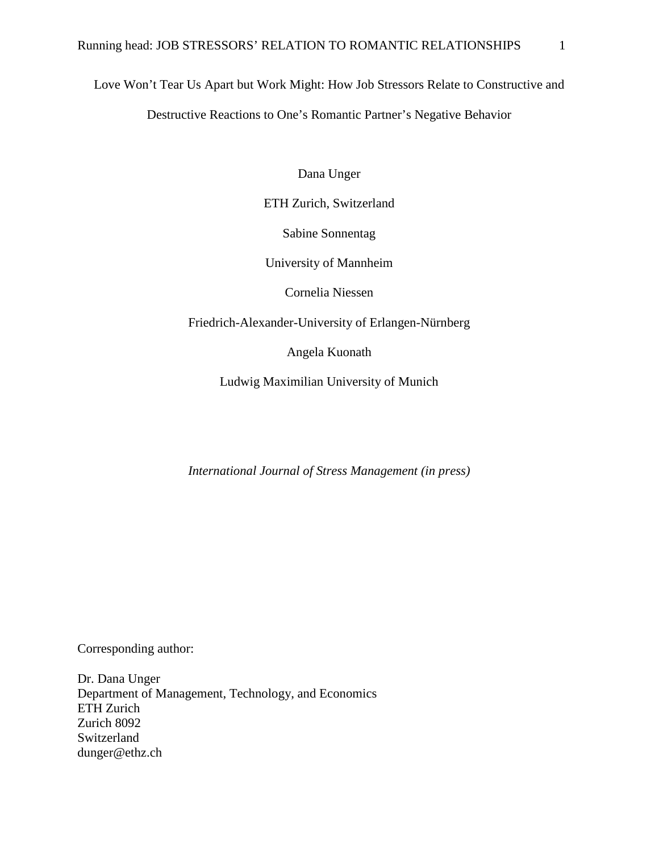Love Won't Tear Us Apart but Work Might: How Job Stressors Relate to Constructive and Destructive Reactions to One's Romantic Partner's Negative Behavior

Dana Unger

ETH Zurich, Switzerland

Sabine Sonnentag

University of Mannheim

Cornelia Niessen

Friedrich-Alexander-University of Erlangen-Nürnberg

Angela Kuonath

Ludwig Maximilian University of Munich

*International Journal of Stress Management (in press)*

Corresponding author:

Dr. Dana Unger Department of Management, Technology, and Economics ETH Zurich Zurich 8092 Switzerland dunger@ethz.ch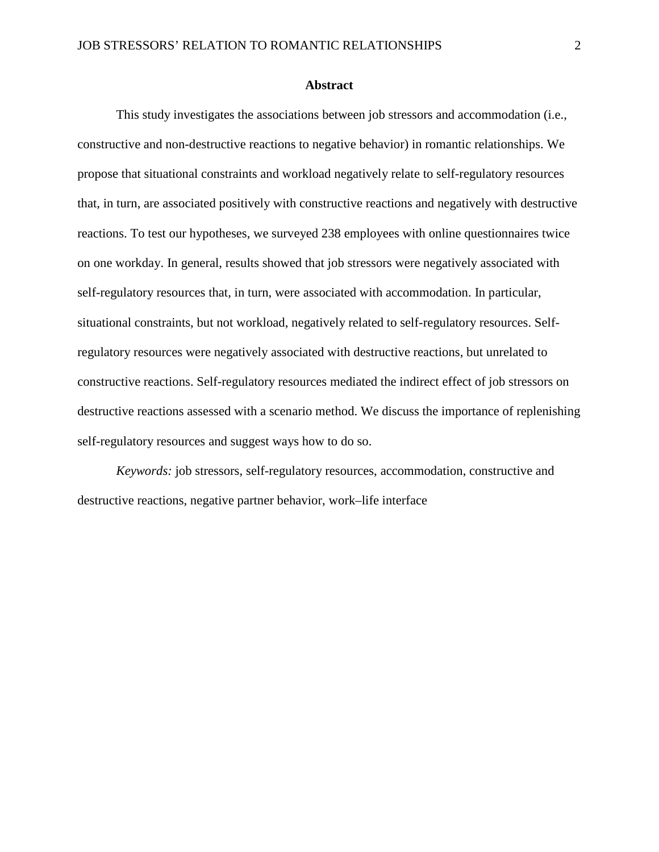## **Abstract**

This study investigates the associations between job stressors and accommodation (i.e., constructive and non-destructive reactions to negative behavior) in romantic relationships. We propose that situational constraints and workload negatively relate to self-regulatory resources that, in turn, are associated positively with constructive reactions and negatively with destructive reactions. To test our hypotheses, we surveyed 238 employees with online questionnaires twice on one workday. In general, results showed that job stressors were negatively associated with self-regulatory resources that, in turn, were associated with accommodation. In particular, situational constraints, but not workload, negatively related to self-regulatory resources. Selfregulatory resources were negatively associated with destructive reactions, but unrelated to constructive reactions. Self-regulatory resources mediated the indirect effect of job stressors on destructive reactions assessed with a scenario method. We discuss the importance of replenishing self-regulatory resources and suggest ways how to do so.

*Keywords:* job stressors, self-regulatory resources, accommodation, constructive and destructive reactions, negative partner behavior, work–life interface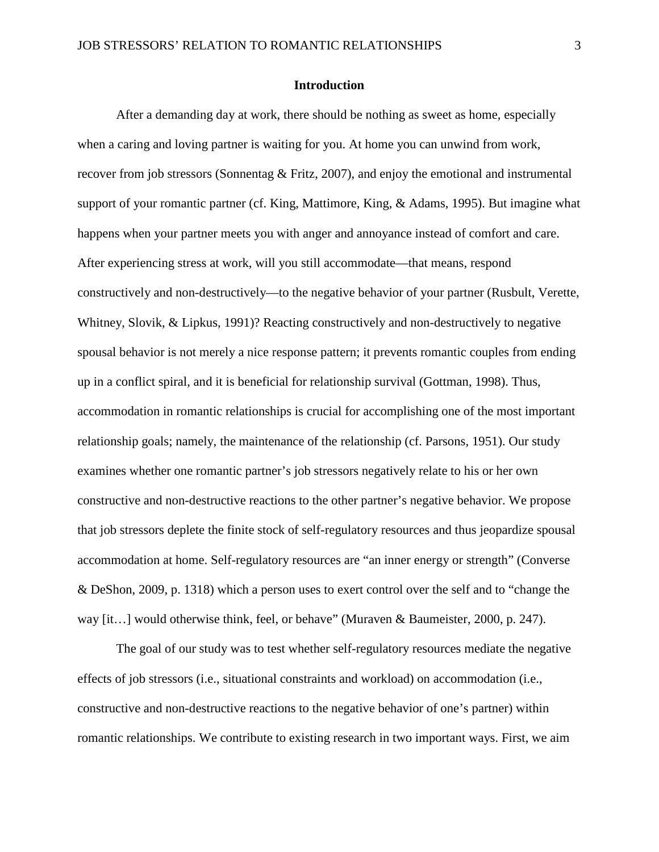## **Introduction**

After a demanding day at work, there should be nothing as sweet as home, especially when a caring and loving partner is waiting for you. At home you can unwind from work, recover from job stressors (Sonnentag  $&$  Fritz, 2007), and enjoy the emotional and instrumental support of your romantic partner [\(cf. King, Mattimore, King, & Adams, 1995\)](#page-30-0). But imagine what happens when your partner meets you with anger and annoyance instead of comfort and care. After experiencing stress at work, will you still accommodate—that means, respond constructively and non-destructively—to the negative behavior of your partner [\(Rusbult, Verette,](#page-32-0)  [Whitney, Slovik, & Lipkus, 1991\)](#page-32-0)? Reacting constructively and non-destructively to negative spousal behavior is not merely a nice response pattern; it prevents romantic couples from ending up in a conflict spiral, and it is beneficial for relationship survival [\(Gottman, 1998\)](#page-28-0). Thus, accommodation in romantic relationships is crucial for accomplishing one of the most important relationship goals; namely, the maintenance of the relationship [\(cf. Parsons, 1951\)](#page-31-0). Our study examines whether one romantic partner's job stressors negatively relate to his or her own constructive and non-destructive reactions to the other partner's negative behavior. We propose that job stressors deplete the finite stock of self-regulatory resources and thus jeopardize spousal accommodation at home. Self-regulatory resources are "an inner energy or strength" [\(Converse](#page-26-0)  [& DeShon, 2009, p. 1318\)](#page-26-0) which a person uses to exert control over the self and to "change the way [it…] would otherwise think, feel, or behave" [\(Muraven & Baumeister, 2000, p. 247\)](#page-30-1).

The goal of our study was to test whether self-regulatory resources mediate the negative effects of job stressors (i.e., situational constraints and workload) on accommodation (i.e., constructive and non-destructive reactions to the negative behavior of one's partner) within romantic relationships. We contribute to existing research in two important ways. First, we aim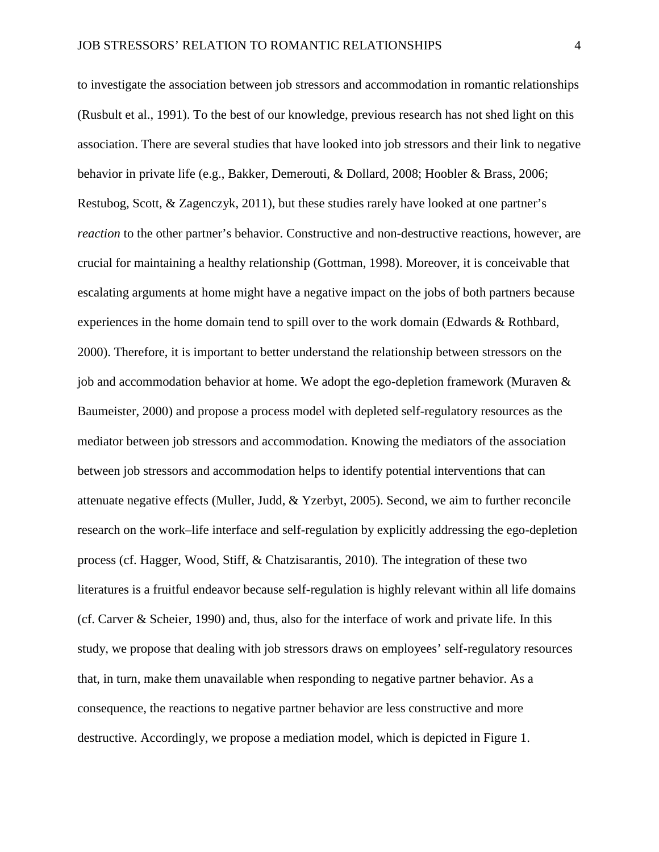to investigate the association between job stressors and accommodation in romantic relationships [\(Rusbult et al., 1991\)](#page-32-0). To the best of our knowledge, previous research has not shed light on this association. There are several studies that have looked into job stressors and their link to negative behavior in private life (e.g., [Bakker, Demerouti, & Dollard, 2008;](#page-25-0) [Hoobler & Brass, 2006;](#page-29-0) [Restubog, Scott, & Zagenczyk, 2011\)](#page-31-1), but these studies rarely have looked at one partner's *reaction* to the other partner's behavior. Constructive and non-destructive reactions, however, are crucial for maintaining a healthy relationship [\(Gottman, 1998\)](#page-28-0). Moreover, it is conceivable that escalating arguments at home might have a negative impact on the jobs of both partners because experiences in the home domain tend to spill over to the work domain [\(Edwards & Rothbard,](#page-27-0)  [2000\)](#page-27-0). Therefore, it is important to better understand the relationship between stressors on the job and accommodation behavior at home. We adopt the ego-depletion framework [\(Muraven &](#page-30-1)  [Baumeister, 2000\)](#page-30-1) and propose a process model with depleted self-regulatory resources as the mediator between job stressors and accommodation. Knowing the mediators of the association between job stressors and accommodation helps to identify potential interventions that can attenuate negative effects [\(Muller, Judd, & Yzerbyt, 2005\)](#page-30-2). Second, we aim to further reconcile research on the work–life interface and self-regulation by explicitly addressing the ego-depletion process [\(cf. Hagger, Wood, Stiff, & Chatzisarantis, 2010\)](#page-29-1). The integration of these two literatures is a fruitful endeavor because self-regulation is highly relevant within all life domains [\(cf. Carver & Scheier, 1990\)](#page-26-1) and, thus, also for the interface of work and private life. In this study, we propose that dealing with job stressors draws on employees' self-regulatory resources that, in turn, make them unavailable when responding to negative partner behavior. As a consequence, the reactions to negative partner behavior are less constructive and more destructive. Accordingly, we propose a mediation model, which is depicted in Figure 1.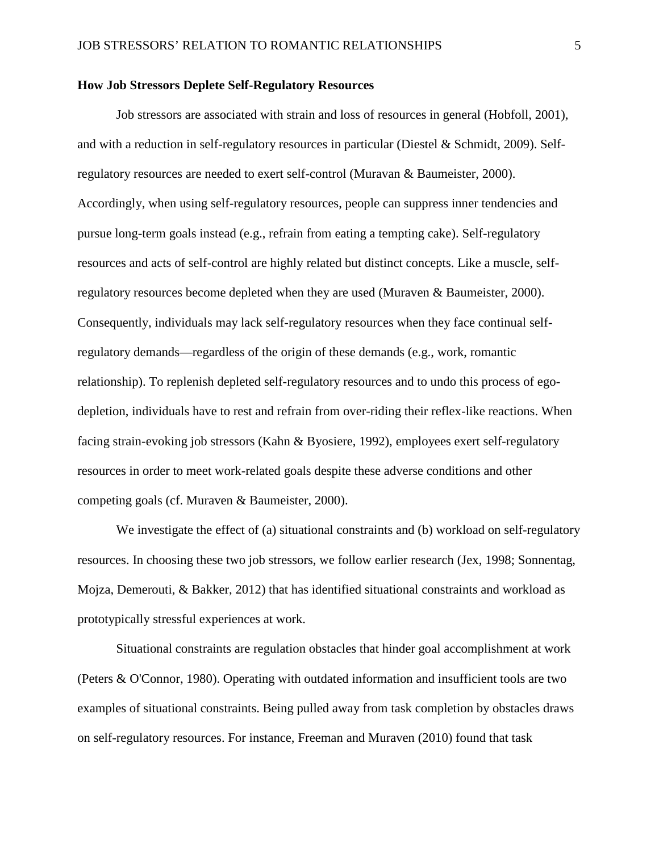## **How Job Stressors Deplete Self-Regulatory Resources**

Job stressors are associated with strain and loss of resources in general [\(Hobfoll, 2001\)](#page-29-2), and with a reduction in self-regulatory resources in particular [\(Diestel & Schmidt, 2009\)](#page-27-1). Selfregulatory resources are needed to exert self-control (Muravan & Baumeister, 2000). Accordingly, when using self-regulatory resources, people can suppress inner tendencies and pursue long-term goals instead (e.g., refrain from eating a tempting cake). Self-regulatory resources and acts of self-control are highly related but distinct concepts. Like a muscle, selfregulatory resources become depleted when they are used [\(Muraven & Baumeister, 2000\)](#page-30-1). Consequently, individuals may lack self-regulatory resources when they face continual selfregulatory demands—regardless of the origin of these demands (e.g., work, romantic relationship). To replenish depleted self-regulatory resources and to undo this process of egodepletion, individuals have to rest and refrain from over-riding their reflex-like reactions. When facing strain-evoking job stressors [\(Kahn & Byosiere, 1992\)](#page-29-3), employees exert self-regulatory resources in order to meet work-related goals despite these adverse conditions and other competing goals [\(cf. Muraven & Baumeister, 2000\)](#page-30-1).

We investigate the effect of (a) situational constraints and (b) workload on self-regulatory resources. In choosing these two job stressors, we follow earlier research [\(Jex, 1998;](#page-29-4) [Sonnentag,](#page-33-1)  [Mojza, Demerouti, & Bakker, 2012\)](#page-33-1) that has identified situational constraints and workload as prototypically stressful experiences at work.

Situational constraints are regulation obstacles that hinder goal accomplishment at work [\(Peters & O'Connor, 1980\)](#page-31-2). Operating with outdated information and insufficient tools are two examples of situational constraints. Being pulled away from task completion by obstacles draws on self-regulatory resources. For instance, Freeman and Muraven [\(2010\)](#page-28-1) found that task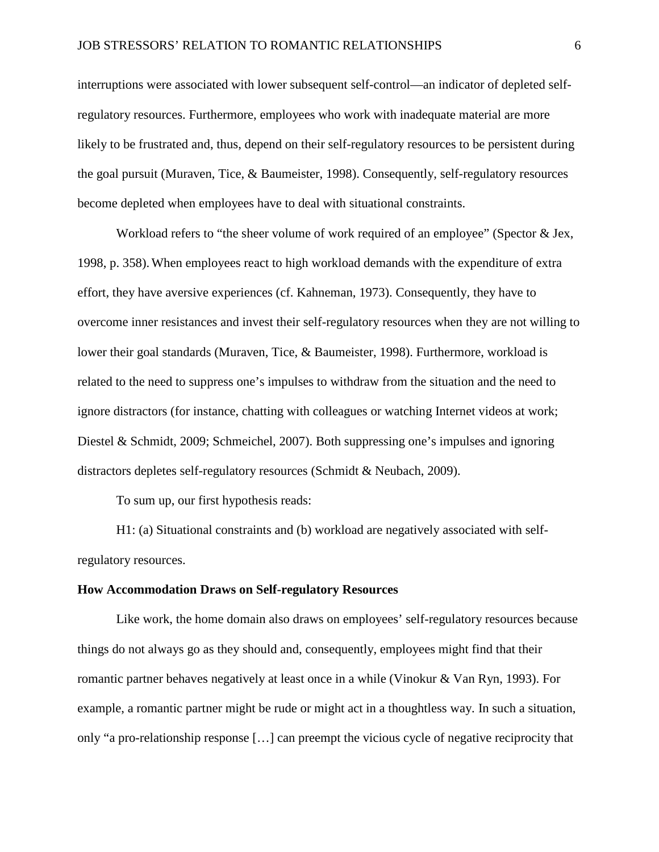interruptions were associated with lower subsequent self-control—an indicator of depleted selfregulatory resources. Furthermore, employees who work with inadequate material are more likely to be frustrated and, thus, depend on their self-regulatory resources to be persistent during the goal pursuit (Muraven, Tice, & Baumeister, 1998). Consequently, self-regulatory resources become depleted when employees have to deal with situational constraints.

Workload refers to "the sheer volume of work required of an employee" [\(Spector & Jex,](#page-33-2)  [1998, p. 358\)](#page-33-2).When employees react to high workload demands with the expenditure of extra effort, they have aversive experiences [\(cf. Kahneman, 1973\)](#page-29-5). Consequently, they have to overcome inner resistances and invest their self-regulatory resources when they are not willing to lower their goal standards [\(Muraven, Tice, & Baumeister, 1998\)](#page-31-3). Furthermore, workload is related to the need to suppress one's impulses to withdraw from the situation and the need to ignore distractors (for instance, chatting with colleagues or watching Internet videos at work; [Diestel & Schmidt, 2009;](#page-27-1) [Schmeichel, 2007\)](#page-32-1). Both suppressing one's impulses and ignoring distractors depletes self-regulatory resources [\(Schmidt & Neubach, 2009\)](#page-32-2).

To sum up, our first hypothesis reads:

H1: (a) Situational constraints and (b) workload are negatively associated with selfregulatory resources.

### **How Accommodation Draws on Self-regulatory Resources**

Like work, the home domain also draws on employees' self-regulatory resources because things do not always go as they should and, consequently, employees might find that their romantic partner behaves negatively at least once in a while [\(Vinokur & Van Ryn, 1993\)](#page-34-0). For example, a romantic partner might be rude or might act in a thoughtless way. In such a situation, only "a pro-relationship response […] can preempt the vicious cycle of negative reciprocity that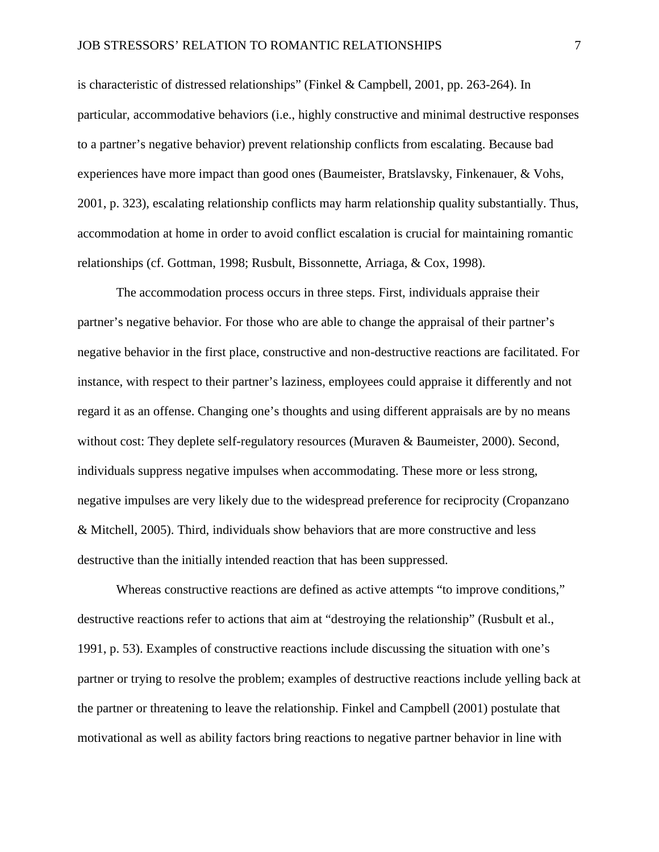is characteristic of distressed relationships" [\(Finkel & Campbell, 2001, pp. 263-264\)](#page-28-2). In particular, accommodative behaviors (i.e., highly constructive and minimal destructive responses to a partner's negative behavior) prevent relationship conflicts from escalating. Because bad experiences have more impact than good ones [\(Baumeister, Bratslavsky, Finkenauer, & Vohs,](#page-25-1)  [2001, p. 323\)](#page-25-1), escalating relationship conflicts may harm relationship quality substantially. Thus, accommodation at home in order to avoid conflict escalation is crucial for maintaining romantic relationships (cf. [Gottman, 1998;](#page-28-0) [Rusbult, Bissonnette, Arriaga, & Cox, 1998\)](#page-31-4).

The accommodation process occurs in three steps. First, individuals appraise their partner's negative behavior. For those who are able to change the appraisal of their partner's negative behavior in the first place, constructive and non-destructive reactions are facilitated. For instance, with respect to their partner's laziness, employees could appraise it differently and not regard it as an offense. Changing one's thoughts and using different appraisals are by no means without cost: They deplete self-regulatory resources [\(Muraven & Baumeister, 2000\)](#page-30-1). Second, individuals suppress negative impulses when accommodating. These more or less strong, negative impulses are very likely due to the widespread preference for reciprocity [\(Cropanzano](#page-27-2)  [& Mitchell, 2005\)](#page-27-2). Third, individuals show behaviors that are more constructive and less destructive than the initially intended reaction that has been suppressed.

Whereas constructive reactions are defined as active attempts "to improve conditions," destructive reactions refer to actions that aim at "destroying the relationship" [\(Rusbult et al.,](#page-32-0)  [1991, p. 53\)](#page-32-0). Examples of constructive reactions include discussing the situation with one's partner or trying to resolve the problem; examples of destructive reactions include yelling back at the partner or threatening to leave the relationship. Finkel and Campbell [\(2001\)](#page-28-2) postulate that motivational as well as ability factors bring reactions to negative partner behavior in line with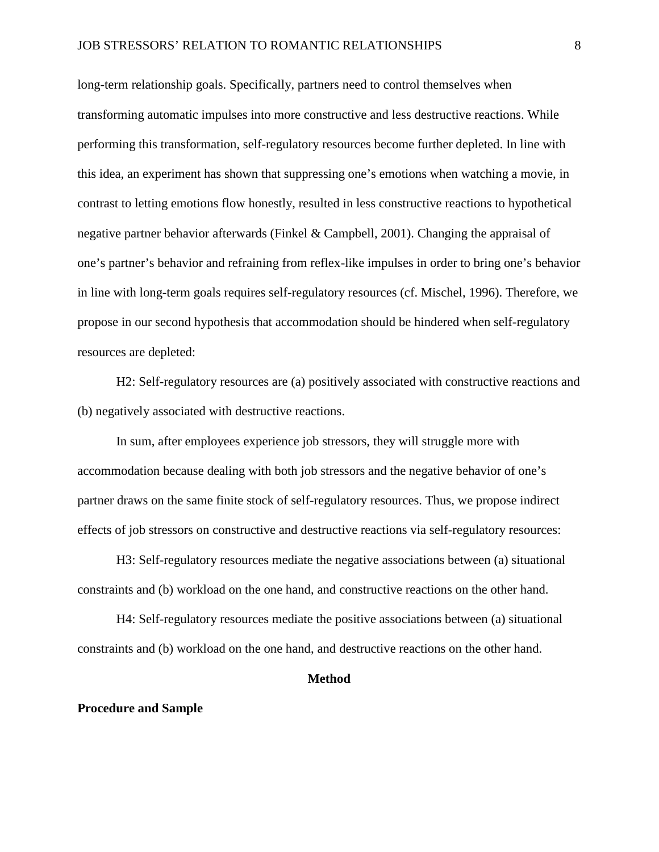long-term relationship goals. Specifically, partners need to control themselves when transforming automatic impulses into more constructive and less destructive reactions. While performing this transformation, self-regulatory resources become further depleted. In line with this idea, an experiment has shown that suppressing one's emotions when watching a movie, in contrast to letting emotions flow honestly, resulted in less constructive reactions to hypothetical negative partner behavior afterwards [\(Finkel & Campbell, 2001\)](#page-28-2). Changing the appraisal of one's partner's behavior and refraining from reflex-like impulses in order to bring one's behavior in line with long-term goals requires self-regulatory resources [\(cf. Mischel, 1996\)](#page-30-3). Therefore, we propose in our second hypothesis that accommodation should be hindered when self-regulatory resources are depleted:

H2: Self-regulatory resources are (a) positively associated with constructive reactions and (b) negatively associated with destructive reactions.

In sum, after employees experience job stressors, they will struggle more with accommodation because dealing with both job stressors and the negative behavior of one's partner draws on the same finite stock of self-regulatory resources. Thus, we propose indirect effects of job stressors on constructive and destructive reactions via self-regulatory resources:

H3: Self-regulatory resources mediate the negative associations between (a) situational constraints and (b) workload on the one hand, and constructive reactions on the other hand.

H4: Self-regulatory resources mediate the positive associations between (a) situational constraints and (b) workload on the one hand, and destructive reactions on the other hand.

## **Method**

### **Procedure and Sample**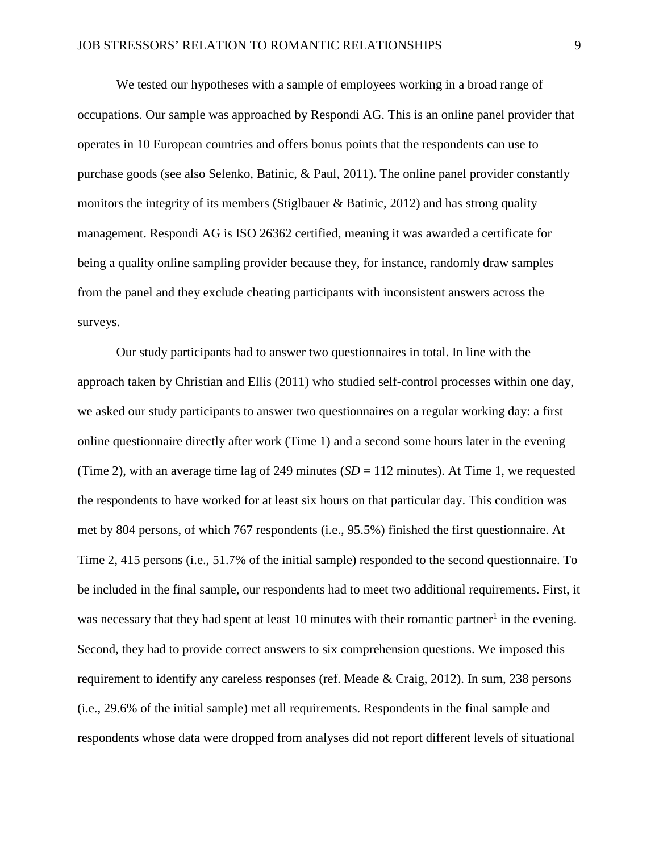We tested our hypotheses with a sample of employees working in a broad range of occupations. Our sample was approached by Respondi AG. This is an online panel provider that operates in 10 European countries and offers bonus points that the respondents can use to purchase goods [\(see also Selenko, Batinic, & Paul, 2011\)](#page-32-3). The online panel provider constantly monitors the integrity of its members [\(Stiglbauer & Batinic, 2012\)](#page-34-1) and has strong quality management. Respondi AG is ISO 26362 certified, meaning it was awarded a certificate for being a quality online sampling provider because they, for instance, randomly draw samples from the panel and they exclude cheating participants with inconsistent answers across the surveys.

Our study participants had to answer two questionnaires in total. In line with the approach taken by Christian and Ellis [\(2011\)](#page-26-2) who studied self-control processes within one day, we asked our study participants to answer two questionnaires on a regular working day: a first online questionnaire directly after work (Time 1) and a second some hours later in the evening (Time 2), with an average time lag of 249 minutes  $(SD = 112$  minutes). At Time 1, we requested the respondents to have worked for at least six hours on that particular day. This condition was met by 804 persons, of which 767 respondents (i.e., 95.5%) finished the first questionnaire. At Time 2, 415 persons (i.e., 51.7% of the initial sample) responded to the second questionnaire. To be included in the final sample, our respondents had to meet two additional requirements. First, it was necessary that they had spent at least 10 minutes with their romantic partner<sup>1</sup> in the evening. Second, they had to provide correct answers to six comprehension questions. We imposed this requirement to identify any careless responses [\(ref. Meade & Craig, 2012\)](#page-30-4). In sum, 238 persons (i.e., 29.6% of the initial sample) met all requirements. Respondents in the final sample and respondents whose data were dropped from analyses did not report different levels of situational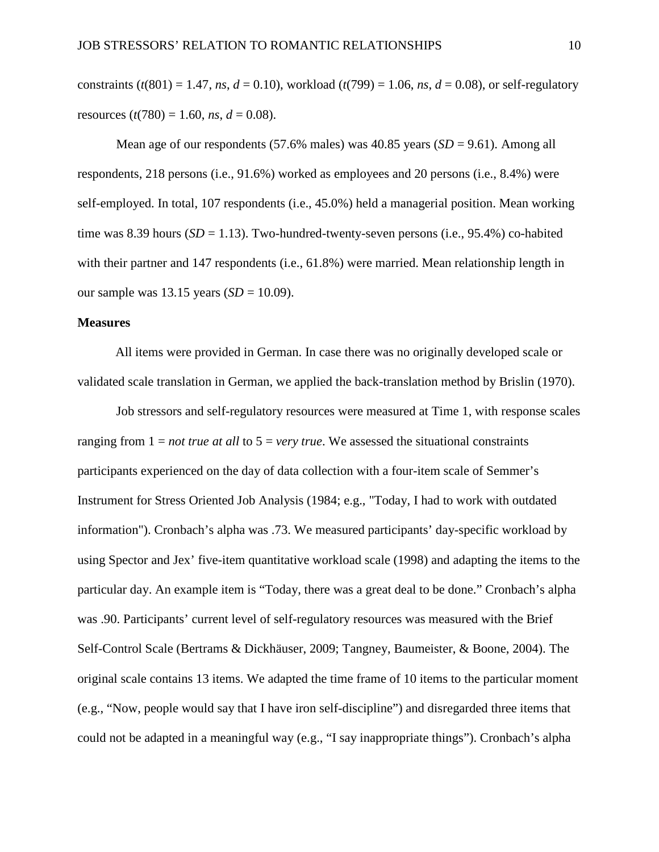constraints ( $t(801) = 1.47$ , *ns*,  $d = 0.10$ ), workload ( $t(799) = 1.06$ , *ns*,  $d = 0.08$ ), or self-regulatory resources  $(t(780) = 1.60, ns, d = 0.08)$ .

Mean age of our respondents (57.6% males) was  $40.85$  years (*SD* = 9.61). Among all respondents, 218 persons (i.e., 91.6%) worked as employees and 20 persons (i.e., 8.4%) were self-employed. In total, 107 respondents (i.e., 45.0%) held a managerial position. Mean working time was 8.39 hours  $(SD = 1.13)$ . Two-hundred-twenty-seven persons (i.e., 95.4%) co-habited with their partner and 147 respondents (i.e., 61.8%) were married. Mean relationship length in our sample was 13.15 years (*SD* = 10.09).

## **Measures**

All items were provided in German. In case there was no originally developed scale or validated scale translation in German, we applied the back-translation method by Brislin [\(1970\)](#page-26-3).

Job stressors and self-regulatory resources were measured at Time 1, with response scales ranging from  $1 = not$  *true at all* to  $5 = very$  *true*. We assessed the situational constraints participants experienced on the day of data collection with a four-item scale of Semmer's Instrument for Stress Oriented Job Analysis [\(1984; e.g., "Today, I had to work with outdated](#page-32-4)  [information"\)](#page-32-4). Cronbach's alpha was .73. We measured participants' day-specific workload by using Spector and Jex' five-item quantitative workload scale [\(1998\)](#page-33-2) and adapting the items to the particular day. An example item is "Today, there was a great deal to be done." Cronbach's alpha was .90. Participants' current level of self-regulatory resources was measured with the Brief Self-Control Scale [\(Bertrams & Dickhäuser, 2009;](#page-25-2) [Tangney, Baumeister, & Boone, 2004\)](#page-34-2). The original scale contains 13 items. We adapted the time frame of 10 items to the particular moment (e.g., "Now, people would say that I have iron self-discipline") and disregarded three items that could not be adapted in a meaningful way (e.g., "I say inappropriate things"). Cronbach's alpha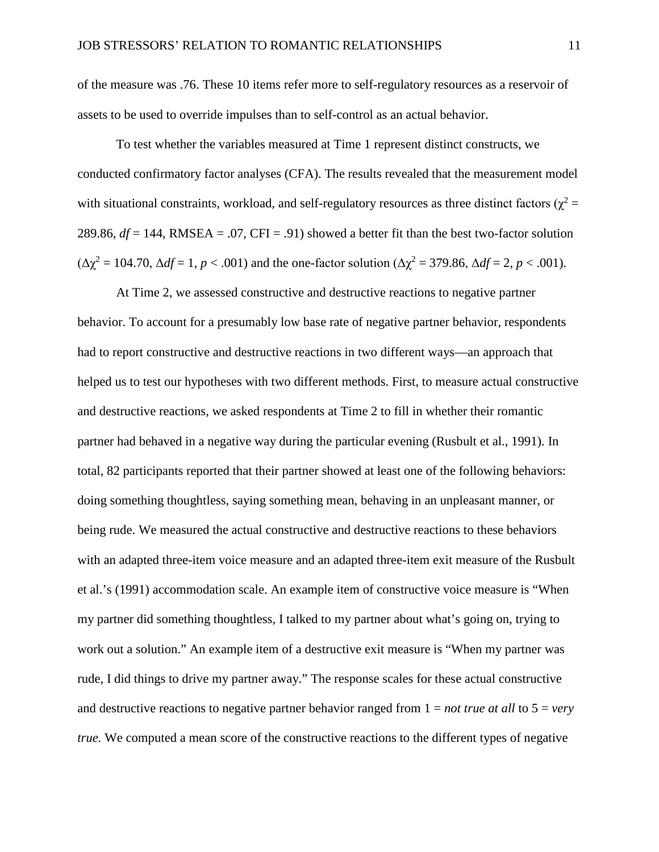of the measure was .76. These 10 items refer more to self-regulatory resources as a reservoir of assets to be used to override impulses than to self-control as an actual behavior.

To test whether the variables measured at Time 1 represent distinct constructs, we conducted confirmatory factor analyses (CFA). The results revealed that the measurement model with situational constraints, workload, and self-regulatory resources as three distinct factors ( $\chi^2$  = 289.86,  $df = 144$ , RMSEA = .07, CFI = .91) showed a better fit than the best two-factor solution  $(\Delta \chi^2 = 104.70, \Delta df = 1, p < .001)$  and the one-factor solution  $(\Delta \chi^2 = 379.86, \Delta df = 2, p < .001)$ .

At Time 2, we assessed constructive and destructive reactions to negative partner behavior. To account for a presumably low base rate of negative partner behavior, respondents had to report constructive and destructive reactions in two different ways—an approach that helped us to test our hypotheses with two different methods. First, to measure actual constructive and destructive reactions, we asked respondents at Time 2 to fill in whether their romantic partner had behaved in a negative way during the particular evening [\(Rusbult et al.,](#page-32-0) 1991). In total, 82 participants reported that their partner showed at least one of the following behaviors: doing something thoughtless, saying something mean, behaving in an unpleasant manner, or being rude. We measured the actual constructive and destructive reactions to these behaviors with an adapted three-item voice measure and an adapted three-item exit measure of the Rusbult et al.'s [\(1991\)](#page-32-0) accommodation scale. An example item of constructive voice measure is "When my partner did something thoughtless, I talked to my partner about what's going on, trying to work out a solution." An example item of a destructive exit measure is "When my partner was rude, I did things to drive my partner away." The response scales for these actual constructive and destructive reactions to negative partner behavior ranged from 1 = *not true at all* to 5 = *very true.* We computed a mean score of the constructive reactions to the different types of negative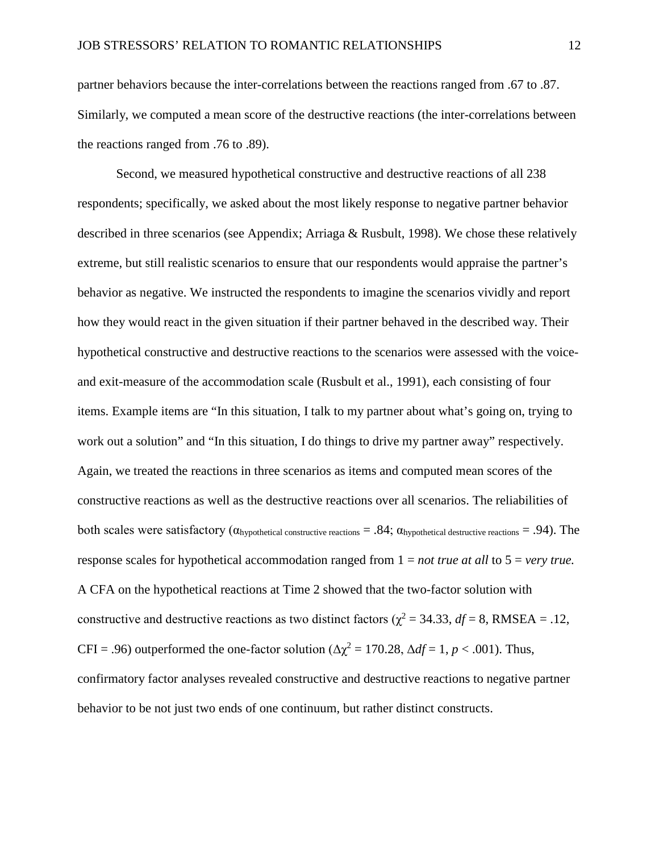partner behaviors because the inter-correlations between the reactions ranged from .67 to .87. Similarly, we computed a mean score of the destructive reactions (the inter-correlations between the reactions ranged from .76 to .89).

Second, we measured hypothetical constructive and destructive reactions of all 238 respondents; specifically, we asked about the most likely response to negative partner behavior described in three scenarios [\(see Appendix; Arriaga & Rusbult, 1998\)](#page-25-3). We chose these relatively extreme, but still realistic scenarios to ensure that our respondents would appraise the partner's behavior as negative. We instructed the respondents to imagine the scenarios vividly and report how they would react in the given situation if their partner behaved in the described way. Their hypothetical constructive and destructive reactions to the scenarios were assessed with the voiceand exit-measure of the accommodation scale [\(Rusbult et al., 1991\)](#page-32-0), each consisting of four items. Example items are "In this situation, I talk to my partner about what's going on, trying to work out a solution" and "In this situation, I do things to drive my partner away" respectively. Again, we treated the reactions in three scenarios as items and computed mean scores of the constructive reactions as well as the destructive reactions over all scenarios. The reliabilities of both scales were satisfactory ( $\alpha$ hypothetical constructive reactions = .84;  $\alpha$ hypothetical destructive reactions = .94). The response scales for hypothetical accommodation ranged from 1 = *not true at all* to 5 = *very true.* A CFA on the hypothetical reactions at Time 2 showed that the two-factor solution with constructive and destructive reactions as two distinct factors ( $\chi^2 = 34.33$ ,  $df = 8$ , RMSEA = .12, CFI = .96) outperformed the one-factor solution ( $\Delta \chi^2 = 170.28$ ,  $\Delta df = 1$ ,  $p < .001$ ). Thus, confirmatory factor analyses revealed constructive and destructive reactions to negative partner behavior to be not just two ends of one continuum, but rather distinct constructs.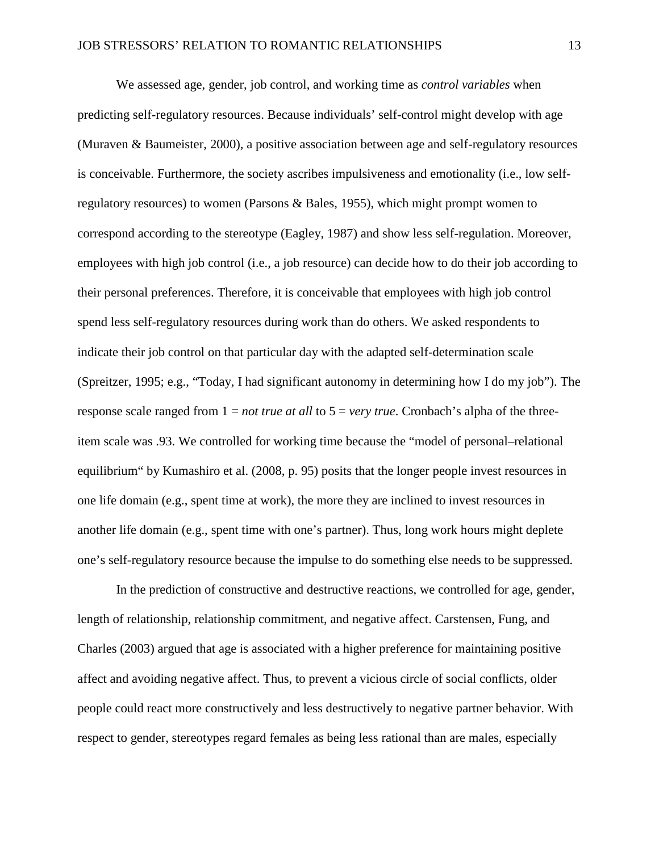We assessed age, gender, job control, and working time as *control variables* when predicting self-regulatory resources. Because individuals' self-control might develop with age [\(Muraven & Baumeister, 2000\)](#page-30-1), a positive association between age and self-regulatory resources is conceivable. Furthermore, the society ascribes impulsiveness and emotionality (i.e., low selfregulatory resources) to women [\(Parsons & Bales, 1955\)](#page-31-5), which might prompt women to correspond according to the stereotype [\(Eagley, 1987\)](#page-27-3) and show less self-regulation. Moreover, employees with high job control (i.e., a job resource) can decide how to do their job according to their personal preferences. Therefore, it is conceivable that employees with high job control spend less self-regulatory resources during work than do others. We asked respondents to indicate their job control on that particular day with the adapted self-determination scale [\(Spreitzer, 1995; e.g., "Today, I had significant autonomy in determining how I do my job"\)](#page-33-3). The response scale ranged from 1 = *not true at all* to 5 = *very true*. Cronbach's alpha of the threeitem scale was .93. We controlled for working time because the "model of personal–relational equilibrium" by Kumashiro et al. [\(2008, p. 95\)](#page-30-5) posits that the longer people invest resources in one life domain (e.g., spent time at work), the more they are inclined to invest resources in another life domain (e.g., spent time with one's partner). Thus, long work hours might deplete one's self-regulatory resource because the impulse to do something else needs to be suppressed.

In the prediction of constructive and destructive reactions, we controlled for age, gender, length of relationship, relationship commitment, and negative affect. Carstensen, Fung, and Charles [\(2003\)](#page-26-4) argued that age is associated with a higher preference for maintaining positive affect and avoiding negative affect. Thus, to prevent a vicious circle of social conflicts, older people could react more constructively and less destructively to negative partner behavior. With respect to gender, stereotypes regard females as being less rational than are males, especially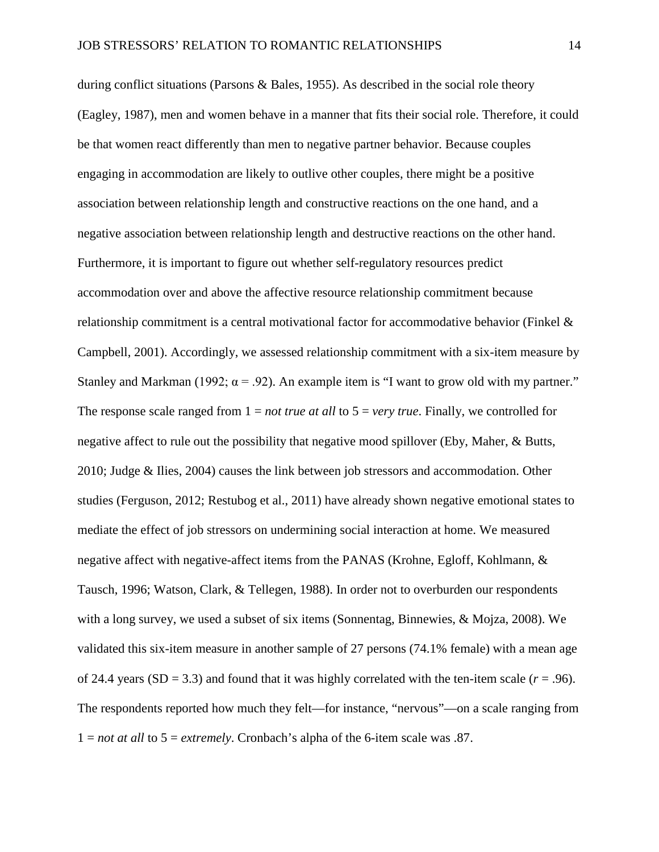during conflict situations [\(Parsons & Bales, 1955\)](#page-31-5). As described in the social role theory [\(Eagley, 1987\)](#page-27-3), men and women behave in a manner that fits their social role. Therefore, it could be that women react differently than men to negative partner behavior. Because couples engaging in accommodation are likely to outlive other couples, there might be a positive association between relationship length and constructive reactions on the one hand, and a negative association between relationship length and destructive reactions on the other hand. Furthermore, it is important to figure out whether self-regulatory resources predict accommodation over and above the affective resource relationship commitment because relationship commitment is a central motivational factor for accommodative behavior [\(Finkel &](#page-28-2)  [Campbell, 2001\)](#page-28-2). Accordingly, we assessed relationship commitment with a six-item measure by Stanley and Markman (1992;  $\alpha$  = .92). An example item is "I want to grow old with my partner." The response scale ranged from 1 = *not true at all* to 5 = *very true*. Finally, we controlled for negative affect to rule out the possibility that negative mood spillover [\(Eby, Maher, & Butts,](#page-27-4)  [2010;](#page-27-4) [Judge & Ilies, 2004\)](#page-29-6) causes the link between job stressors and accommodation. Other studies [\(Ferguson, 2012;](#page-27-5) [Restubog et al., 2011\)](#page-31-1) have already shown negative emotional states to mediate the effect of job stressors on undermining social interaction at home. We measured negative affect with negative-affect items from the PANAS [\(Krohne, Egloff, Kohlmann, &](#page-30-6)  [Tausch, 1996;](#page-30-6) [Watson, Clark, & Tellegen, 1988\)](#page-34-3). In order not to overburden our respondents with a long survey, we used a subset of six items [\(Sonnentag, Binnewies, & Mojza, 2008\)](#page-33-5). We validated this six-item measure in another sample of 27 persons (74.1% female) with a mean age of 24.4 years  $(SD = 3.3)$  and found that it was highly correlated with the ten-item scale  $(r = .96)$ . The respondents reported how much they felt—for instance, "nervous"—on a scale ranging from  $1 = not at all to 5 = extremely. Cronbach's alpha of the 6-item scale was .87.$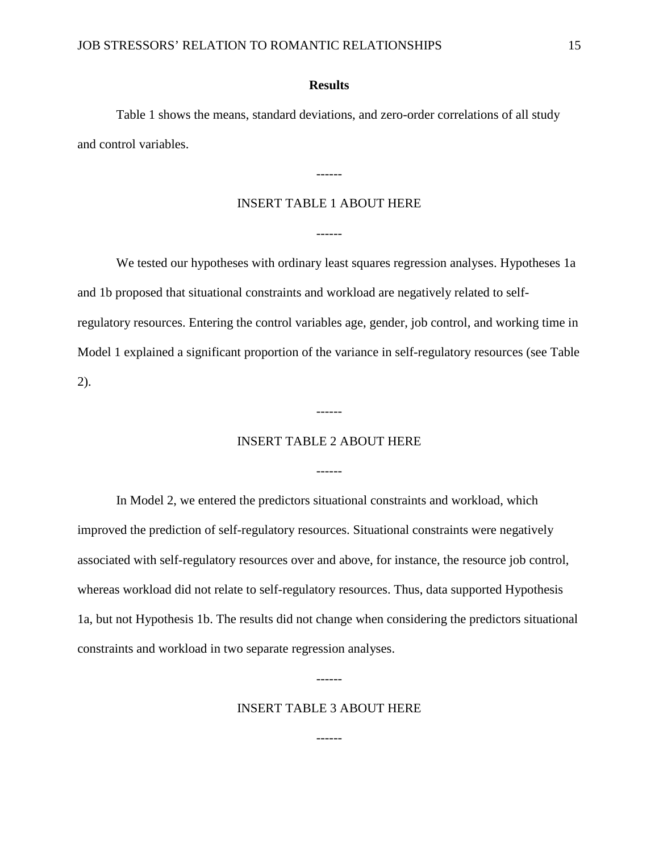### **Results**

Table 1 shows the means, standard deviations, and zero-order correlations of all study and control variables.

## INSERT TABLE 1 ABOUT HERE

------

------

We tested our hypotheses with ordinary least squares regression analyses. Hypotheses 1a and 1b proposed that situational constraints and workload are negatively related to selfregulatory resources. Entering the control variables age, gender, job control, and working time in Model 1 explained a significant proportion of the variance in self-regulatory resources (see Table 2).

## INSERT TABLE 2 ABOUT HERE

------

------

In Model 2, we entered the predictors situational constraints and workload, which improved the prediction of self-regulatory resources. Situational constraints were negatively associated with self-regulatory resources over and above, for instance, the resource job control, whereas workload did not relate to self-regulatory resources. Thus, data supported Hypothesis 1a, but not Hypothesis 1b. The results did not change when considering the predictors situational constraints and workload in two separate regression analyses.

## INSERT TABLE 3 ABOUT HERE

------

------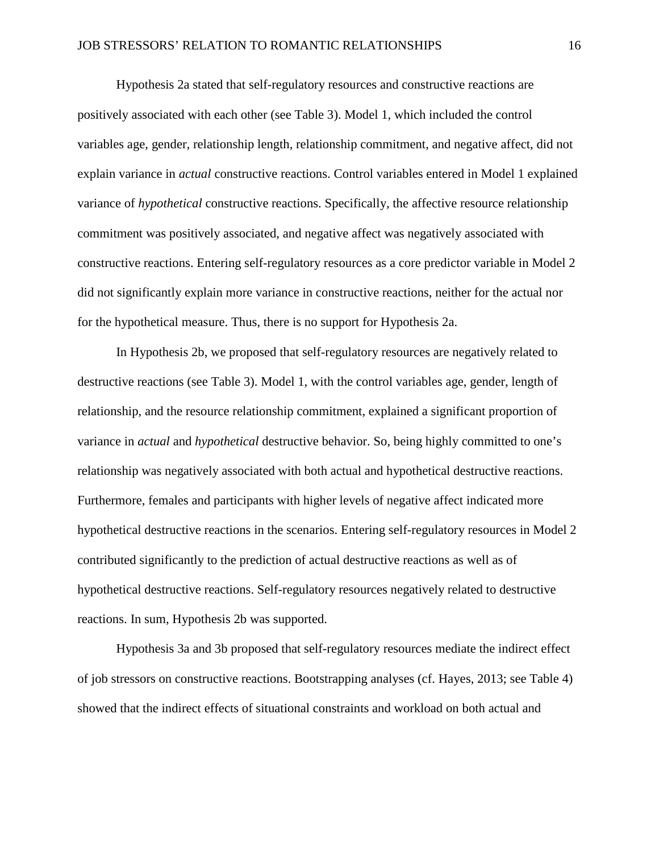Hypothesis 2a stated that self-regulatory resources and constructive reactions are positively associated with each other (see Table 3). Model 1, which included the control variables age, gender, relationship length, relationship commitment, and negative affect, did not explain variance in *actual* constructive reactions. Control variables entered in Model 1 explained variance of *hypothetical* constructive reactions. Specifically, the affective resource relationship commitment was positively associated, and negative affect was negatively associated with constructive reactions. Entering self-regulatory resources as a core predictor variable in Model 2 did not significantly explain more variance in constructive reactions, neither for the actual nor for the hypothetical measure. Thus, there is no support for Hypothesis 2a.

In Hypothesis 2b, we proposed that self-regulatory resources are negatively related to destructive reactions (see Table 3). Model 1, with the control variables age, gender, length of relationship, and the resource relationship commitment, explained a significant proportion of variance in *actual* and *hypothetical* destructive behavior. So, being highly committed to one's relationship was negatively associated with both actual and hypothetical destructive reactions. Furthermore, females and participants with higher levels of negative affect indicated more hypothetical destructive reactions in the scenarios. Entering self-regulatory resources in Model 2 contributed significantly to the prediction of actual destructive reactions as well as of hypothetical destructive reactions. Self-regulatory resources negatively related to destructive reactions. In sum, Hypothesis 2b was supported.

Hypothesis 3a and 3b proposed that self-regulatory resources mediate the indirect effect of job stressors on constructive reactions. Bootstrapping analyses [\(cf. Hayes, 2013; see Table 4\)](#page-29-7) showed that the indirect effects of situational constraints and workload on both actual and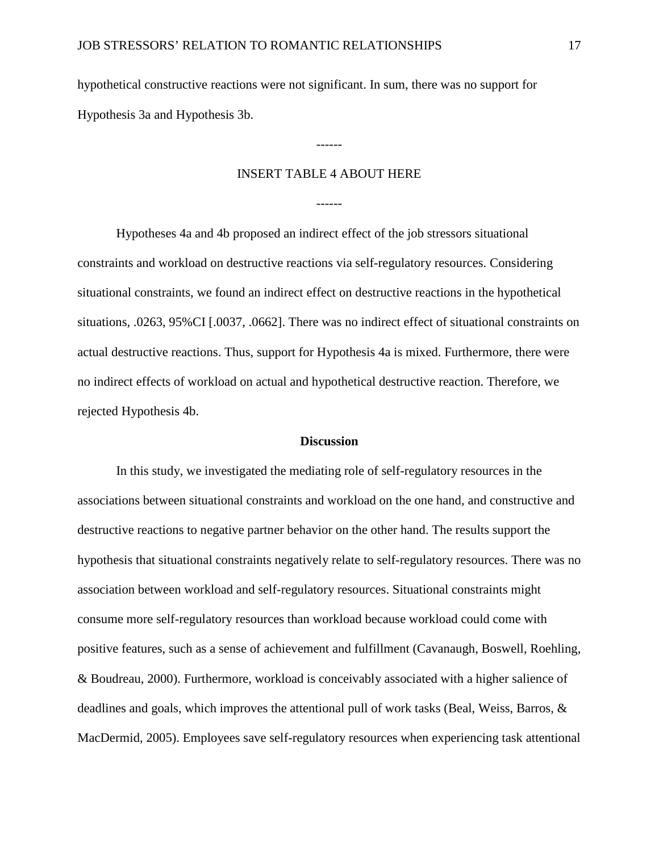hypothetical constructive reactions were not significant. In sum, there was no support for Hypothesis 3a and Hypothesis 3b.

## INSERT TABLE 4 ABOUT HERE

------

------

Hypotheses 4a and 4b proposed an indirect effect of the job stressors situational constraints and workload on destructive reactions via self-regulatory resources. Considering situational constraints, we found an indirect effect on destructive reactions in the hypothetical situations, .0263, 95%CI [.0037, .0662]. There was no indirect effect of situational constraints on actual destructive reactions. Thus, support for Hypothesis 4a is mixed. Furthermore, there were no indirect effects of workload on actual and hypothetical destructive reaction. Therefore, we rejected Hypothesis 4b.

#### **Discussion**

In this study, we investigated the mediating role of self-regulatory resources in the associations between situational constraints and workload on the one hand, and constructive and destructive reactions to negative partner behavior on the other hand. The results support the hypothesis that situational constraints negatively relate to self-regulatory resources. There was no association between workload and self-regulatory resources. Situational constraints might consume more self-regulatory resources than workload because workload could come with positive features, such as a sense of achievement and fulfillment [\(Cavanaugh, Boswell, Roehling,](#page-26-5)  [& Boudreau, 2000\)](#page-26-5). Furthermore, workload is conceivably associated with a higher salience of deadlines and goals, which improves the attentional pull of work tasks [\(Beal, Weiss, Barros, &](#page-25-4)  [MacDermid, 2005\)](#page-25-4). Employees save self-regulatory resources when experiencing task attentional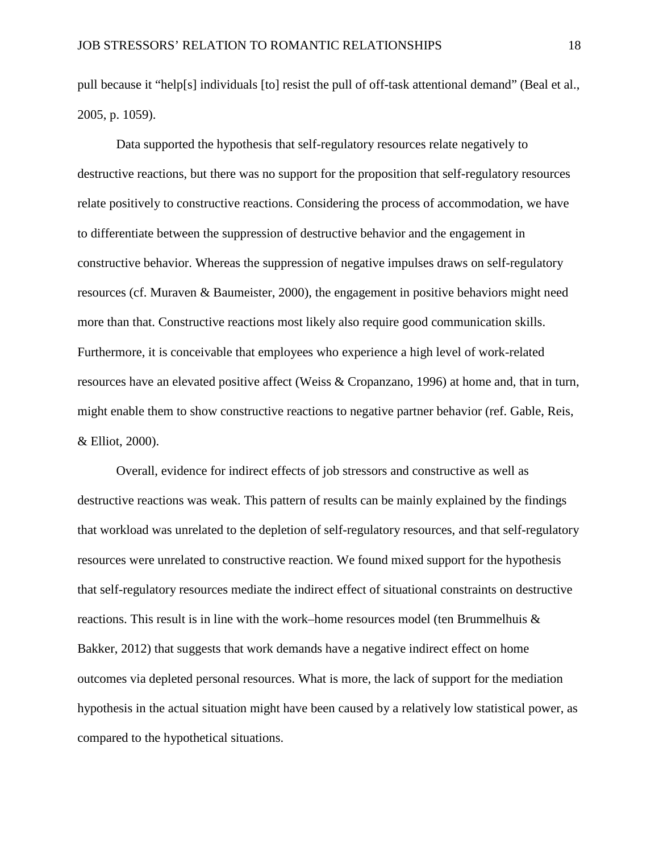pull because it "help[s] individuals [to] resist the pull of off-task attentional demand" [\(Beal et al.,](#page-25-4)  [2005, p. 1059\)](#page-25-4).

Data supported the hypothesis that self-regulatory resources relate negatively to destructive reactions, but there was no support for the proposition that self-regulatory resources relate positively to constructive reactions. Considering the process of accommodation, we have to differentiate between the suppression of destructive behavior and the engagement in constructive behavior. Whereas the suppression of negative impulses draws on self-regulatory resources [\(cf. Muraven & Baumeister, 2000\)](#page-30-1), the engagement in positive behaviors might need more than that. Constructive reactions most likely also require good communication skills. Furthermore, it is conceivable that employees who experience a high level of work-related resources have an elevated positive affect [\(Weiss & Cropanzano, 1996\)](#page-34-4) at home and, that in turn, might enable them to show constructive reactions to negative partner behavior [\(ref. Gable, Reis,](#page-28-3)  [& Elliot, 2000\)](#page-28-3).

Overall, evidence for indirect effects of job stressors and constructive as well as destructive reactions was weak. This pattern of results can be mainly explained by the findings that workload was unrelated to the depletion of self-regulatory resources, and that self-regulatory resources were unrelated to constructive reaction. We found mixed support for the hypothesis that self-regulatory resources mediate the indirect effect of situational constraints on destructive reactions. This result is in line with the work–home resources model (ten Brummelhuis  $\&$ [Bakker, 2012\)](#page-34-5) that suggests that work demands have a negative indirect effect on home outcomes via depleted personal resources. What is more, the lack of support for the mediation hypothesis in the actual situation might have been caused by a relatively low statistical power, as compared to the hypothetical situations.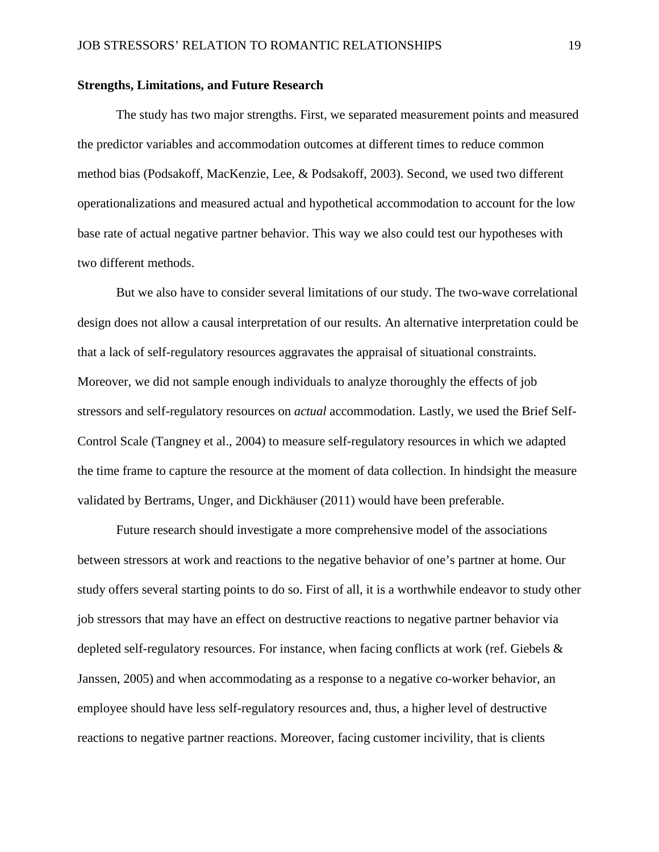## **Strengths, Limitations, and Future Research**

The study has two major strengths. First, we separated measurement points and measured the predictor variables and accommodation outcomes at different times to reduce common method bias [\(Podsakoff, MacKenzie, Lee, & Podsakoff, 2003\)](#page-31-6). Second, we used two different operationalizations and measured actual and hypothetical accommodation to account for the low base rate of actual negative partner behavior. This way we also could test our hypotheses with two different methods.

But we also have to consider several limitations of our study. The two-wave correlational design does not allow a causal interpretation of our results. An alternative interpretation could be that a lack of self-regulatory resources aggravates the appraisal of situational constraints. Moreover, we did not sample enough individuals to analyze thoroughly the effects of job stressors and self-regulatory resources on *actual* accommodation. Lastly, we used the Brief Self-Control Scale [\(Tangney et al., 2004\)](#page-34-2) to measure self-regulatory resources in which we adapted the time frame to capture the resource at the moment of data collection. In hindsight the measure validated by Bertrams, Unger, and Dickhäuser [\(2011\)](#page-25-5) would have been preferable.

Future research should investigate a more comprehensive model of the associations between stressors at work and reactions to the negative behavior of one's partner at home. Our study offers several starting points to do so. First of all, it is a worthwhile endeavor to study other job stressors that may have an effect on destructive reactions to negative partner behavior via depleted self-regulatory resources. For instance, when facing conflicts at work [\(ref. Giebels &](#page-28-4)  [Janssen, 2005\)](#page-28-4) and when accommodating as a response to a negative co-worker behavior, an employee should have less self-regulatory resources and, thus, a higher level of destructive reactions to negative partner reactions. Moreover, facing customer incivility, that is clients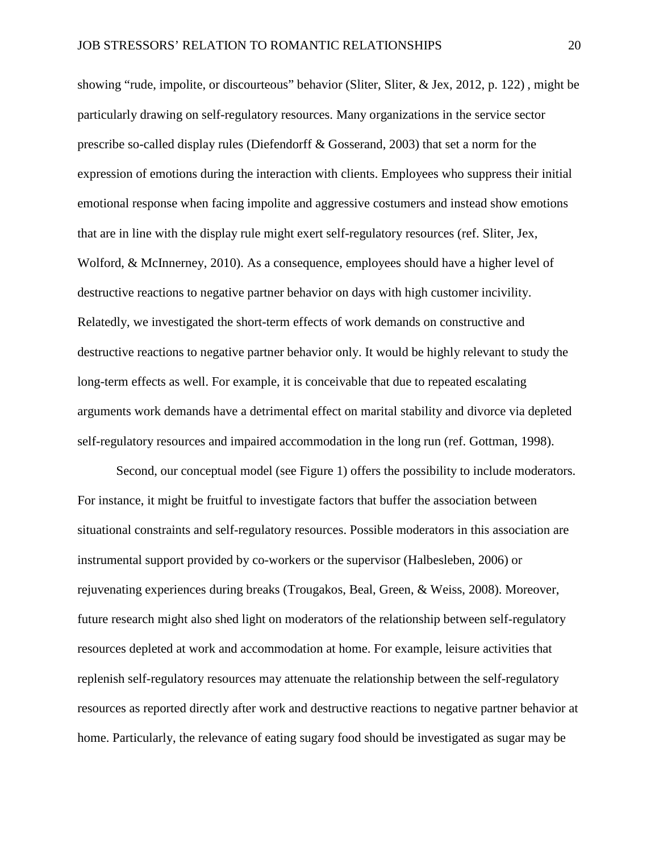showing "rude, impolite, or discourteous" behavior [\(Sliter, Sliter, & Jex, 2012, p. 122\)](#page-32-5) , might be particularly drawing on self-regulatory resources. Many organizations in the service sector prescribe so-called display rules [\(Diefendorff & Gosserand, 2003\)](#page-27-6) that set a norm for the expression of emotions during the interaction with clients. Employees who suppress their initial emotional response when facing impolite and aggressive costumers and instead show emotions that are in line with the display rule might exert self-regulatory resources [\(ref. Sliter, Jex,](#page-32-6)  [Wolford, & McInnerney, 2010\)](#page-32-6). As a consequence, employees should have a higher level of destructive reactions to negative partner behavior on days with high customer incivility. Relatedly, we investigated the short-term effects of work demands on constructive and destructive reactions to negative partner behavior only. It would be highly relevant to study the long-term effects as well. For example, it is conceivable that due to repeated escalating arguments work demands have a detrimental effect on marital stability and divorce via depleted self-regulatory resources and impaired accommodation in the long run [\(ref. Gottman, 1998\)](#page-28-0).

Second, our conceptual model (see Figure 1) offers the possibility to include moderators. For instance, it might be fruitful to investigate factors that buffer the association between situational constraints and self-regulatory resources. Possible moderators in this association are instrumental support provided by co-workers or the supervisor [\(Halbesleben, 2006\)](#page-29-8) or rejuvenating experiences during breaks (Trougakos, Beal, Green, & Weiss, 2008). Moreover, future research might also shed light on moderators of the relationship between self-regulatory resources depleted at work and accommodation at home. For example, leisure activities that replenish self-regulatory resources may attenuate the relationship between the self-regulatory resources as reported directly after work and destructive reactions to negative partner behavior at home. Particularly, the relevance of eating sugary food should be investigated as sugar may be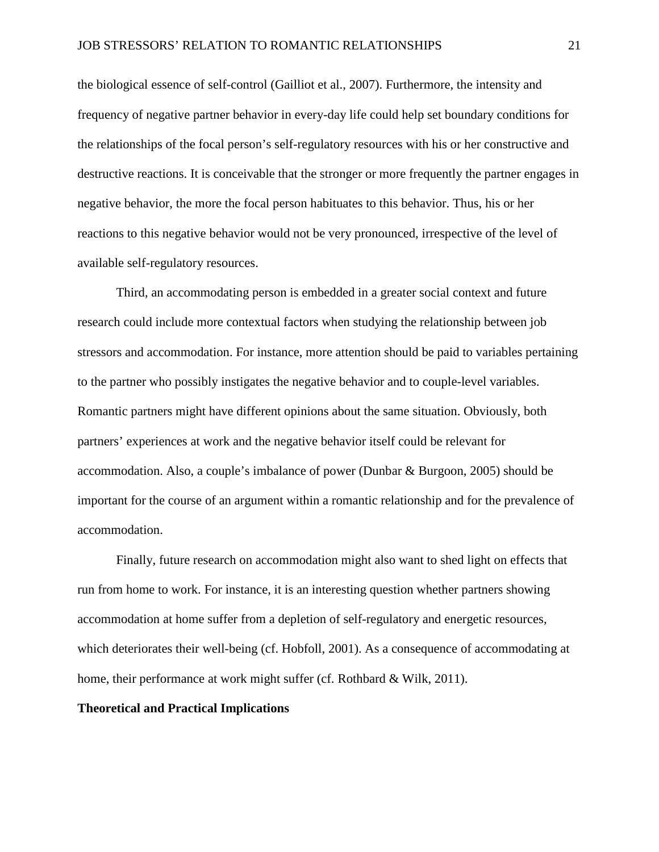the biological essence of self-control [\(Gailliot et al., 2007\)](#page-28-5). Furthermore, the intensity and frequency of negative partner behavior in every-day life could help set boundary conditions for the relationships of the focal person's self-regulatory resources with his or her constructive and destructive reactions. It is conceivable that the stronger or more frequently the partner engages in negative behavior, the more the focal person habituates to this behavior. Thus, his or her reactions to this negative behavior would not be very pronounced, irrespective of the level of available self-regulatory resources.

Third, an accommodating person is embedded in a greater social context and future research could include more contextual factors when studying the relationship between job stressors and accommodation. For instance, more attention should be paid to variables pertaining to the partner who possibly instigates the negative behavior and to couple-level variables. Romantic partners might have different opinions about the same situation. Obviously, both partners' experiences at work and the negative behavior itself could be relevant for accommodation. Also, a couple's imbalance of power [\(Dunbar & Burgoon, 2005\)](#page-27-7) should be important for the course of an argument within a romantic relationship and for the prevalence of accommodation.

Finally, future research on accommodation might also want to shed light on effects that run from home to work. For instance, it is an interesting question whether partners showing accommodation at home suffer from a depletion of self-regulatory and energetic resources, which deteriorates their well-being [\(cf. Hobfoll, 2001\)](#page-29-2). As a consequence of accommodating at home, their performance at work might suffer [\(cf. Rothbard & Wilk, 2011\)](#page-31-7).

## **Theoretical and Practical Implications**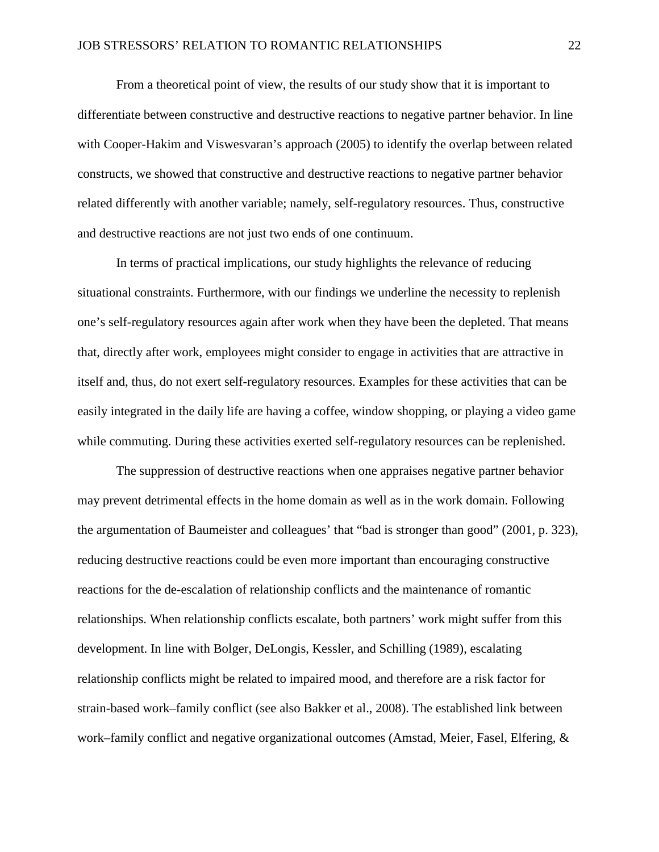From a theoretical point of view, the results of our study show that it is important to differentiate between constructive and destructive reactions to negative partner behavior. In line with Cooper-Hakim and Viswesvaran's approach [\(2005\)](#page-27-8) to identify the overlap between related constructs, we showed that constructive and destructive reactions to negative partner behavior related differently with another variable; namely, self-regulatory resources. Thus, constructive and destructive reactions are not just two ends of one continuum.

In terms of practical implications, our study highlights the relevance of reducing situational constraints. Furthermore, with our findings we underline the necessity to replenish one's self-regulatory resources again after work when they have been the depleted. That means that, directly after work, employees might consider to engage in activities that are attractive in itself and, thus, do not exert self-regulatory resources. Examples for these activities that can be easily integrated in the daily life are having a coffee, window shopping, or playing a video game while commuting. During these activities exerted self-regulatory resources can be replenished.

The suppression of destructive reactions when one appraises negative partner behavior may prevent detrimental effects in the home domain as well as in the work domain. Following the argumentation of Baumeister and colleagues' that "bad is stronger than good" [\(2001, p. 323\)](#page-25-1), reducing destructive reactions could be even more important than encouraging constructive reactions for the de-escalation of relationship conflicts and the maintenance of romantic relationships. When relationship conflicts escalate, both partners' work might suffer from this development. In line with Bolger, DeLongis, Kessler, and Schilling [\(1989\)](#page-26-6), escalating relationship conflicts might be related to impaired mood, and therefore are a risk factor for strain-based work–family conflict [\(see also Bakker et al., 2008\)](#page-25-0). The established link between work–family conflict and negative organizational outcomes [\(Amstad, Meier, Fasel, Elfering, &](#page-25-6)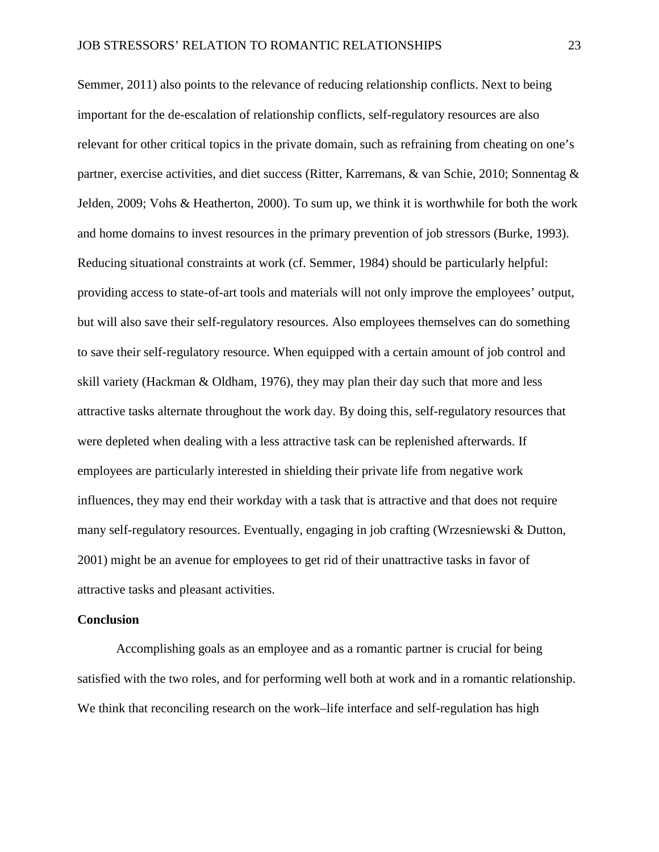[Semmer, 2011\)](#page-25-6) also points to the relevance of reducing relationship conflicts. Next to being important for the de-escalation of relationship conflicts, self-regulatory resources are also relevant for other critical topics in the private domain, such as refraining from cheating on one's partner, exercise activities, and diet success [\(Ritter, Karremans, & van Schie, 2010;](#page-31-8) [Sonnentag &](#page-33-6)  [Jelden, 2009;](#page-33-6) [Vohs & Heatherton, 2000\)](#page-34-6). To sum up, we think it is worthwhile for both the work and home domains to invest resources in the primary prevention of job stressors [\(Burke, 1993\)](#page-26-7). Reducing situational constraints at work [\(cf. Semmer, 1984\)](#page-32-4) should be particularly helpful: providing access to state-of-art tools and materials will not only improve the employees' output, but will also save their self-regulatory resources. Also employees themselves can do something to save their self-regulatory resource. When equipped with a certain amount of job control and skill variety [\(Hackman & Oldham, 1976\)](#page-28-6), they may plan their day such that more and less attractive tasks alternate throughout the work day. By doing this, self-regulatory resources that were depleted when dealing with a less attractive task can be replenished afterwards. If employees are particularly interested in shielding their private life from negative work influences, they may end their workday with a task that is attractive and that does not require many self-regulatory resources. Eventually, engaging in job crafting [\(Wrzesniewski & Dutton,](#page-35-0)  [2001\)](#page-35-0) might be an avenue for employees to get rid of their unattractive tasks in favor of attractive tasks and pleasant activities.

### **Conclusion**

Accomplishing goals as an employee and as a romantic partner is crucial for being satisfied with the two roles, and for performing well both at work and in a romantic relationship. We think that reconciling research on the work–life interface and self-regulation has high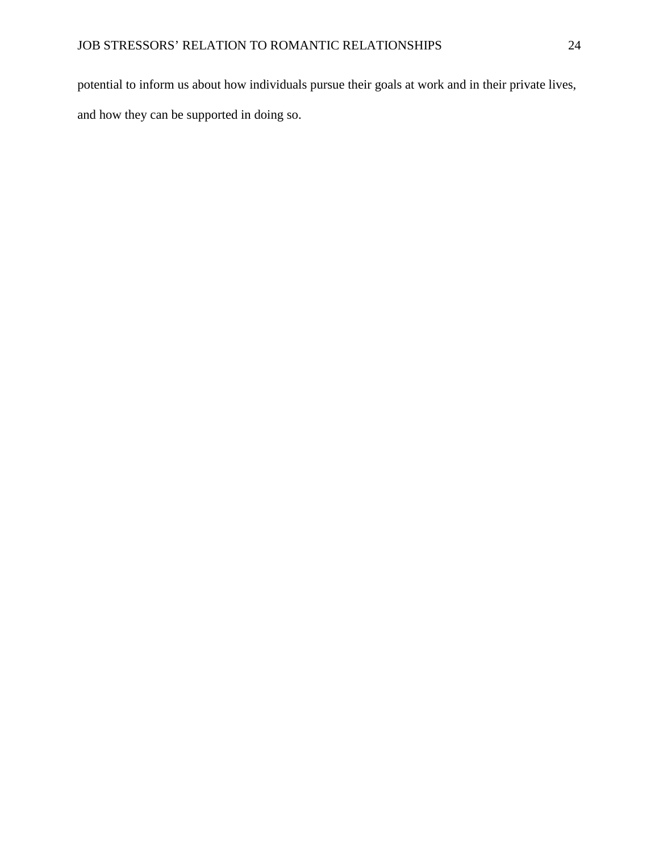potential to inform us about how individuals pursue their goals at work and in their private lives, and how they can be supported in doing so.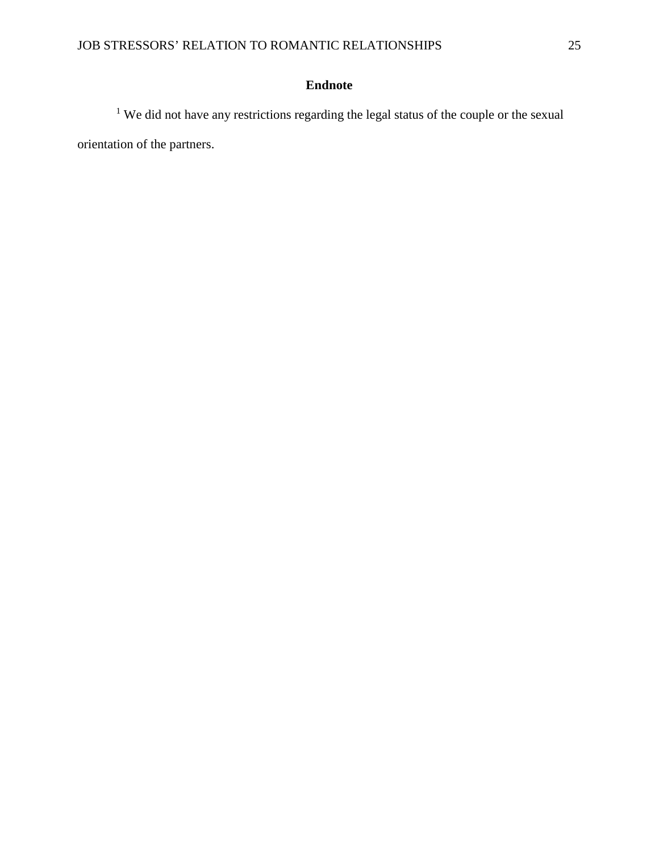# **Endnote**

<sup>1</sup> We did not have any restrictions regarding the legal status of the couple or the sexual orientation of the partners.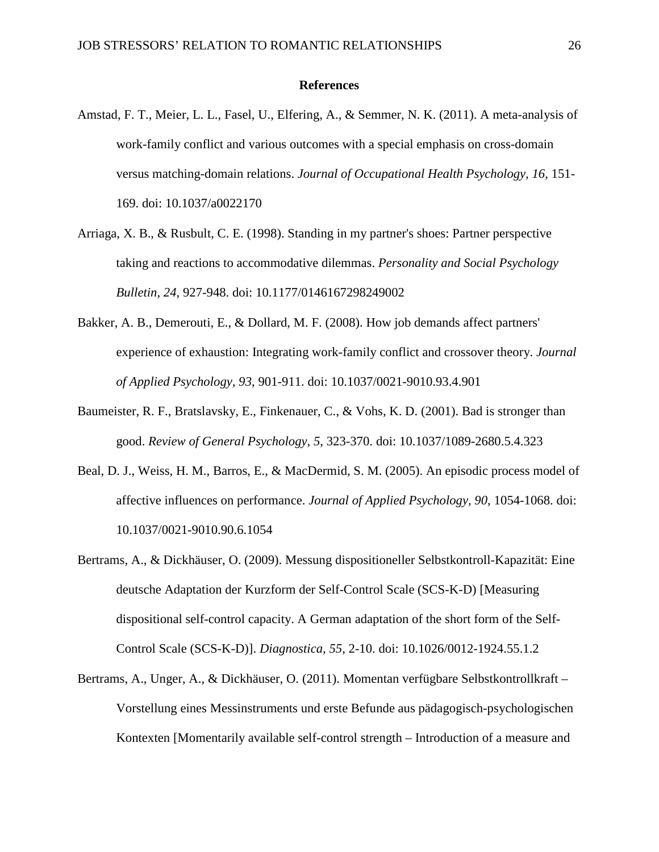### **References**

- <span id="page-25-6"></span>Amstad, F. T., Meier, L. L., Fasel, U., Elfering, A., & Semmer, N. K. (2011). A meta-analysis of work-family conflict and various outcomes with a special emphasis on cross-domain versus matching-domain relations. *Journal of Occupational Health Psychology, 16*, 151- 169. doi: 10.1037/a0022170
- <span id="page-25-3"></span>Arriaga, X. B., & Rusbult, C. E. (1998). Standing in my partner's shoes: Partner perspective taking and reactions to accommodative dilemmas. *Personality and Social Psychology Bulletin, 24*, 927-948. doi: 10.1177/0146167298249002
- <span id="page-25-0"></span>Bakker, A. B., Demerouti, E., & Dollard, M. F. (2008). How job demands affect partners' experience of exhaustion: Integrating work-family conflict and crossover theory. *Journal of Applied Psychology, 93*, 901-911. doi: 10.1037/0021-9010.93.4.901
- <span id="page-25-1"></span>Baumeister, R. F., Bratslavsky, E., Finkenauer, C., & Vohs, K. D. (2001). Bad is stronger than good. *Review of General Psychology, 5*, 323-370. doi: 10.1037/1089-2680.5.4.323
- <span id="page-25-4"></span>Beal, D. J., Weiss, H. M., Barros, E., & MacDermid, S. M. (2005). An episodic process model of affective influences on performance. *Journal of Applied Psychology, 90*, 1054-1068. doi: 10.1037/0021-9010.90.6.1054
- <span id="page-25-2"></span>Bertrams, A., & Dickhäuser, O. (2009). Messung dispositioneller Selbstkontroll-Kapazität: Eine deutsche Adaptation der Kurzform der Self-Control Scale (SCS-K-D) [Measuring dispositional self-control capacity. A German adaptation of the short form of the Self-Control Scale (SCS-K-D)]. *Diagnostica, 55*, 2-10. doi: 10.1026/0012-1924.55.1.2
- <span id="page-25-5"></span>Bertrams, A., Unger, A., & Dickhäuser, O. (2011). Momentan verfügbare Selbstkontrollkraft – Vorstellung eines Messinstruments und erste Befunde aus pädagogisch-psychologischen Kontexten [Momentarily available self-control strength – Introduction of a measure and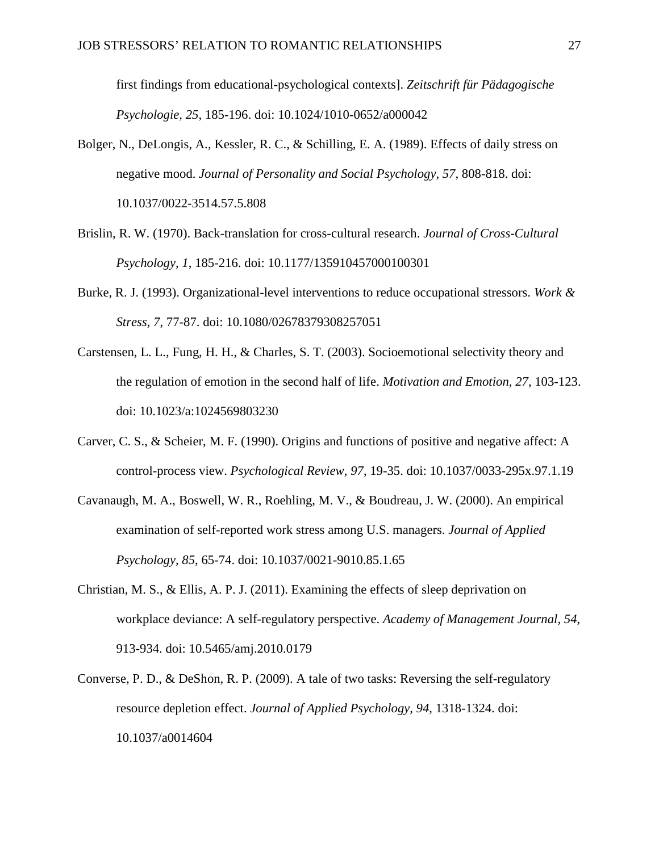first findings from educational-psychological contexts]. *Zeitschrift für Pädagogische Psychologie, 25*, 185-196. doi: 10.1024/1010-0652/a000042

- <span id="page-26-6"></span>Bolger, N., DeLongis, A., Kessler, R. C., & Schilling, E. A. (1989). Effects of daily stress on negative mood. *Journal of Personality and Social Psychology, 57*, 808-818. doi: 10.1037/0022-3514.57.5.808
- <span id="page-26-3"></span>Brislin, R. W. (1970). Back-translation for cross-cultural research. *Journal of Cross-Cultural Psychology, 1*, 185-216. doi: 10.1177/135910457000100301
- <span id="page-26-7"></span>Burke, R. J. (1993). Organizational-level interventions to reduce occupational stressors. *Work & Stress, 7*, 77-87. doi: 10.1080/02678379308257051
- <span id="page-26-4"></span>Carstensen, L. L., Fung, H. H., & Charles, S. T. (2003). Socioemotional selectivity theory and the regulation of emotion in the second half of life. *Motivation and Emotion, 27*, 103-123. doi: 10.1023/a:1024569803230
- <span id="page-26-1"></span>Carver, C. S., & Scheier, M. F. (1990). Origins and functions of positive and negative affect: A control-process view. *Psychological Review, 97*, 19-35. doi: 10.1037/0033-295x.97.1.19
- <span id="page-26-5"></span>Cavanaugh, M. A., Boswell, W. R., Roehling, M. V., & Boudreau, J. W. (2000). An empirical examination of self-reported work stress among U.S. managers. *Journal of Applied Psychology, 85*, 65-74. doi: 10.1037/0021-9010.85.1.65
- <span id="page-26-2"></span>Christian, M. S., & Ellis, A. P. J. (2011). Examining the effects of sleep deprivation on workplace deviance: A self-regulatory perspective. *Academy of Management Journal, 54*, 913-934. doi: 10.5465/amj.2010.0179
- <span id="page-26-0"></span>Converse, P. D., & DeShon, R. P. (2009). A tale of two tasks: Reversing the self-regulatory resource depletion effect. *Journal of Applied Psychology, 94*, 1318-1324. doi: 10.1037/a0014604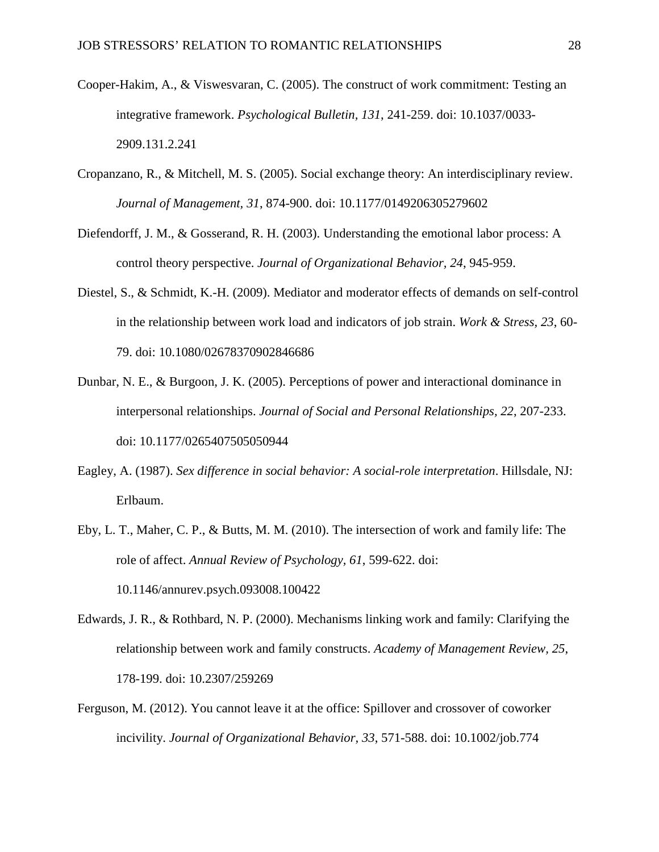- <span id="page-27-8"></span>Cooper-Hakim, A., & Viswesvaran, C. (2005). The construct of work commitment: Testing an integrative framework. *Psychological Bulletin, 131*, 241-259. doi: 10.1037/0033- 2909.131.2.241
- <span id="page-27-2"></span>Cropanzano, R., & Mitchell, M. S. (2005). Social exchange theory: An interdisciplinary review. *Journal of Management, 31*, 874-900. doi: 10.1177/0149206305279602
- <span id="page-27-6"></span>Diefendorff, J. M., & Gosserand, R. H. (2003). Understanding the emotional labor process: A control theory perspective. *Journal of Organizational Behavior, 24*, 945-959.
- <span id="page-27-1"></span>Diestel, S., & Schmidt, K.-H. (2009). Mediator and moderator effects of demands on self-control in the relationship between work load and indicators of job strain. *Work & Stress, 23*, 60- 79. doi: 10.1080/02678370902846686
- <span id="page-27-7"></span>Dunbar, N. E., & Burgoon, J. K. (2005). Perceptions of power and interactional dominance in interpersonal relationships. *Journal of Social and Personal Relationships, 22*, 207-233. doi: 10.1177/0265407505050944
- <span id="page-27-3"></span>Eagley, A. (1987). *Sex difference in social behavior: A social-role interpretation*. Hillsdale, NJ: Erlbaum.
- <span id="page-27-4"></span>Eby, L. T., Maher, C. P., & Butts, M. M. (2010). The intersection of work and family life: The role of affect. *Annual Review of Psychology, 61*, 599-622. doi: 10.1146/annurev.psych.093008.100422
- <span id="page-27-0"></span>Edwards, J. R., & Rothbard, N. P. (2000). Mechanisms linking work and family: Clarifying the relationship between work and family constructs. *Academy of Management Review, 25*, 178-199. doi: 10.2307/259269
- <span id="page-27-5"></span>Ferguson, M. (2012). You cannot leave it at the office: Spillover and crossover of coworker incivility. *Journal of Organizational Behavior, 33*, 571-588. doi: 10.1002/job.774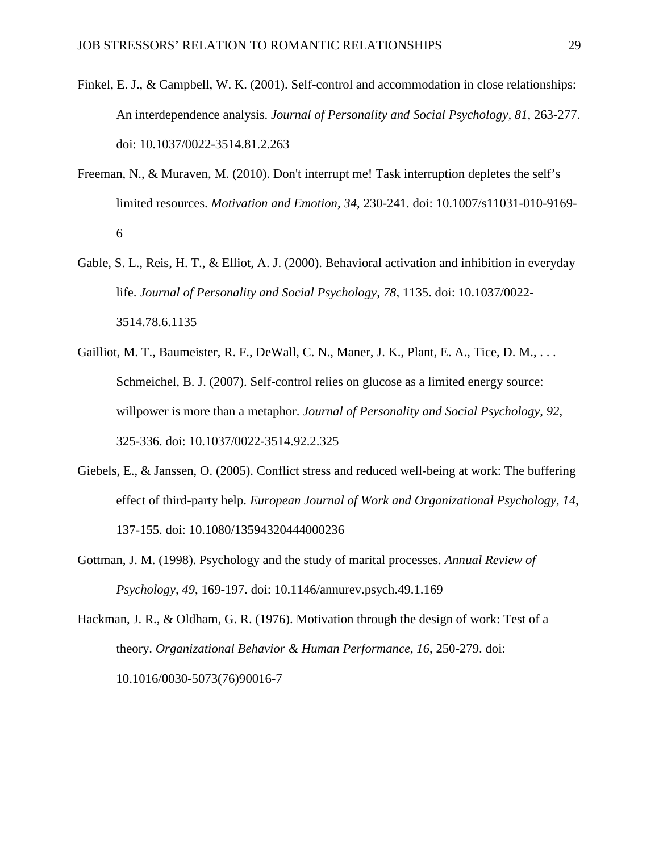- <span id="page-28-2"></span>Finkel, E. J., & Campbell, W. K. (2001). Self-control and accommodation in close relationships: An interdependence analysis. *Journal of Personality and Social Psychology, 81*, 263-277. doi: 10.1037/0022-3514.81.2.263
- <span id="page-28-1"></span>Freeman, N., & Muraven, M. (2010). Don't interrupt me! Task interruption depletes the self's limited resources. *Motivation and Emotion, 34*, 230-241. doi: 10.1007/s11031-010-9169- 6
- <span id="page-28-3"></span>Gable, S. L., Reis, H. T., & Elliot, A. J. (2000). Behavioral activation and inhibition in everyday life. *Journal of Personality and Social Psychology, 78*, 1135. doi: 10.1037/0022- 3514.78.6.1135
- <span id="page-28-5"></span>Gailliot, M. T., Baumeister, R. F., DeWall, C. N., Maner, J. K., Plant, E. A., Tice, D. M., . . . Schmeichel, B. J. (2007). Self-control relies on glucose as a limited energy source: willpower is more than a metaphor. *Journal of Personality and Social Psychology, 92*, 325-336. doi: 10.1037/0022-3514.92.2.325
- <span id="page-28-4"></span>Giebels, E., & Janssen, O. (2005). Conflict stress and reduced well-being at work: The buffering effect of third-party help. *European Journal of Work and Organizational Psychology, 14*, 137-155. doi: 10.1080/13594320444000236
- <span id="page-28-0"></span>Gottman, J. M. (1998). Psychology and the study of marital processes. *Annual Review of Psychology, 49*, 169-197. doi: 10.1146/annurev.psych.49.1.169

<span id="page-28-6"></span>Hackman, J. R., & Oldham, G. R. (1976). Motivation through the design of work: Test of a theory. *Organizational Behavior & Human Performance, 16*, 250-279. doi: 10.1016/0030-5073(76)90016-7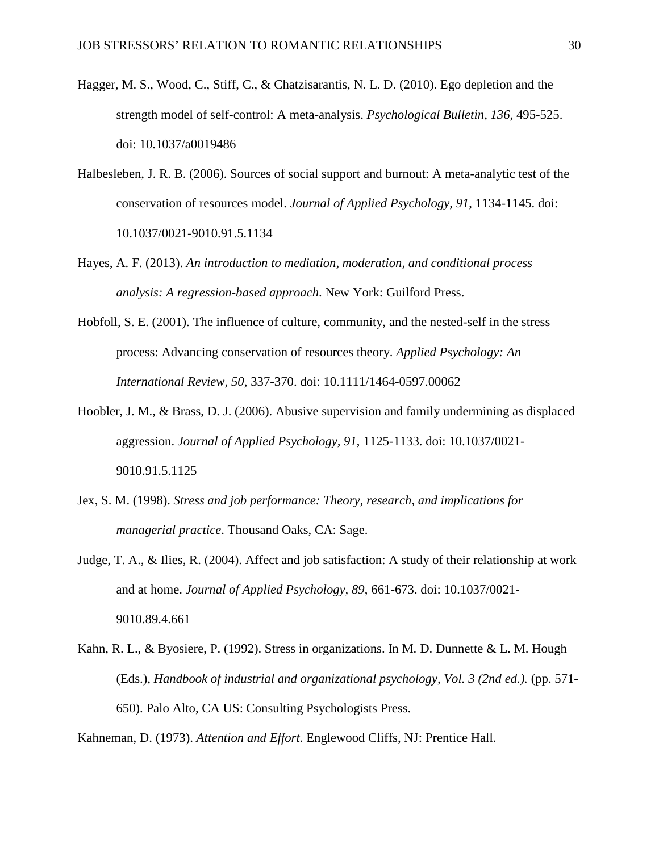- <span id="page-29-1"></span>Hagger, M. S., Wood, C., Stiff, C., & Chatzisarantis, N. L. D. (2010). Ego depletion and the strength model of self-control: A meta-analysis. *Psychological Bulletin, 136*, 495-525. doi: 10.1037/a0019486
- <span id="page-29-8"></span>Halbesleben, J. R. B. (2006). Sources of social support and burnout: A meta-analytic test of the conservation of resources model. *Journal of Applied Psychology, 91*, 1134-1145. doi: 10.1037/0021-9010.91.5.1134
- <span id="page-29-7"></span>Hayes, A. F. (2013). *An introduction to mediation, moderation, and conditional process analysis: A regression-based approach*. New York: Guilford Press.
- <span id="page-29-2"></span>Hobfoll, S. E. (2001). The influence of culture, community, and the nested-self in the stress process: Advancing conservation of resources theory. *Applied Psychology: An International Review, 50*, 337-370. doi: 10.1111/1464-0597.00062
- <span id="page-29-0"></span>Hoobler, J. M., & Brass, D. J. (2006). Abusive supervision and family undermining as displaced aggression. *Journal of Applied Psychology, 91*, 1125-1133. doi: 10.1037/0021- 9010.91.5.1125
- <span id="page-29-4"></span>Jex, S. M. (1998). *Stress and job performance: Theory, research, and implications for managerial practice*. Thousand Oaks, CA: Sage.
- <span id="page-29-6"></span>Judge, T. A., & Ilies, R. (2004). Affect and job satisfaction: A study of their relationship at work and at home. *Journal of Applied Psychology, 89*, 661-673. doi: 10.1037/0021- 9010.89.4.661
- <span id="page-29-3"></span>Kahn, R. L., & Byosiere, P. (1992). Stress in organizations. In M. D. Dunnette & L. M. Hough (Eds.), *Handbook of industrial and organizational psychology, Vol. 3 (2nd ed.).* (pp. 571- 650). Palo Alto, CA US: Consulting Psychologists Press.

<span id="page-29-5"></span>Kahneman, D. (1973). *Attention and Effort*. Englewood Cliffs, NJ: Prentice Hall.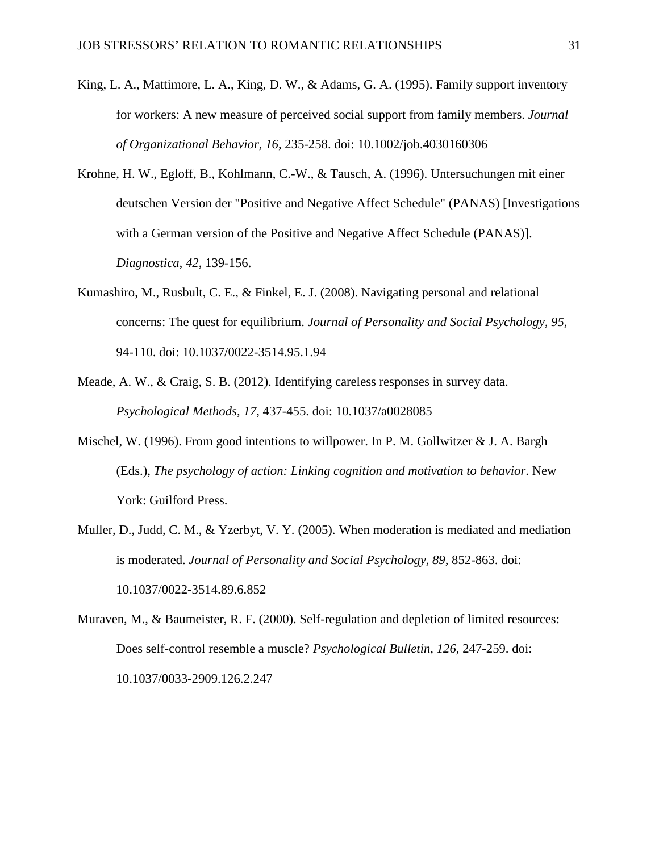- <span id="page-30-0"></span>King, L. A., Mattimore, L. A., King, D. W., & Adams, G. A. (1995). Family support inventory for workers: A new measure of perceived social support from family members. *Journal of Organizational Behavior, 16*, 235-258. doi: 10.1002/job.4030160306
- <span id="page-30-6"></span>Krohne, H. W., Egloff, B., Kohlmann, C.-W., & Tausch, A. (1996). Untersuchungen mit einer deutschen Version der "Positive and Negative Affect Schedule" (PANAS) [Investigations with a German version of the Positive and Negative Affect Schedule (PANAS)]. *Diagnostica, 42*, 139-156.
- <span id="page-30-5"></span>Kumashiro, M., Rusbult, C. E., & Finkel, E. J. (2008). Navigating personal and relational concerns: The quest for equilibrium. *Journal of Personality and Social Psychology, 95*, 94-110. doi: 10.1037/0022-3514.95.1.94
- <span id="page-30-4"></span>Meade, A. W., & Craig, S. B. (2012). Identifying careless responses in survey data. *Psychological Methods, 17*, 437-455. doi: 10.1037/a0028085
- <span id="page-30-3"></span>Mischel, W. (1996). From good intentions to willpower. In P. M. Gollwitzer & J. A. Bargh (Eds.), *The psychology of action: Linking cognition and motivation to behavior*. New York: Guilford Press.
- <span id="page-30-2"></span>Muller, D., Judd, C. M., & Yzerbyt, V. Y. (2005). When moderation is mediated and mediation is moderated. *Journal of Personality and Social Psychology, 89*, 852-863. doi: 10.1037/0022-3514.89.6.852
- <span id="page-30-1"></span>Muraven, M., & Baumeister, R. F. (2000). Self-regulation and depletion of limited resources: Does self-control resemble a muscle? *Psychological Bulletin, 126*, 247-259. doi: 10.1037/0033-2909.126.2.247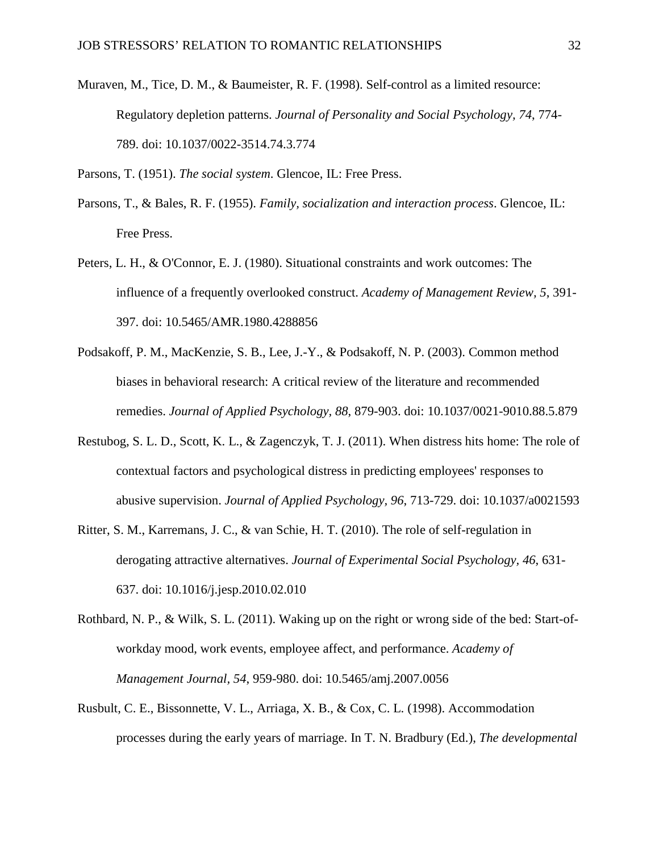<span id="page-31-3"></span>Muraven, M., Tice, D. M., & Baumeister, R. F. (1998). Self-control as a limited resource: Regulatory depletion patterns. *Journal of Personality and Social Psychology, 74*, 774- 789. doi: 10.1037/0022-3514.74.3.774

<span id="page-31-0"></span>Parsons, T. (1951). *The social system*. Glencoe, IL: Free Press.

- <span id="page-31-5"></span>Parsons, T., & Bales, R. F. (1955). *Family, socialization and interaction process*. Glencoe, IL: Free Press.
- <span id="page-31-2"></span>Peters, L. H., & O'Connor, E. J. (1980). Situational constraints and work outcomes: The influence of a frequently overlooked construct. *Academy of Management Review, 5*, 391- 397. doi: 10.5465/AMR.1980.4288856
- <span id="page-31-6"></span>Podsakoff, P. M., MacKenzie, S. B., Lee, J.-Y., & Podsakoff, N. P. (2003). Common method biases in behavioral research: A critical review of the literature and recommended remedies. *Journal of Applied Psychology, 88*, 879-903. doi: 10.1037/0021-9010.88.5.879
- <span id="page-31-1"></span>Restubog, S. L. D., Scott, K. L., & Zagenczyk, T. J. (2011). When distress hits home: The role of contextual factors and psychological distress in predicting employees' responses to abusive supervision. *Journal of Applied Psychology, 96*, 713-729. doi: 10.1037/a0021593
- <span id="page-31-8"></span>Ritter, S. M., Karremans, J. C., & van Schie, H. T. (2010). The role of self-regulation in derogating attractive alternatives. *Journal of Experimental Social Psychology, 46*, 631- 637. doi: 10.1016/j.jesp.2010.02.010
- <span id="page-31-7"></span>Rothbard, N. P., & Wilk, S. L. (2011). Waking up on the right or wrong side of the bed: Start-ofworkday mood, work events, employee affect, and performance. *Academy of Management Journal, 54*, 959-980. doi: 10.5465/amj.2007.0056
- <span id="page-31-4"></span>Rusbult, C. E., Bissonnette, V. L., Arriaga, X. B., & Cox, C. L. (1998). Accommodation processes during the early years of marriage. In T. N. Bradbury (Ed.), *The developmental*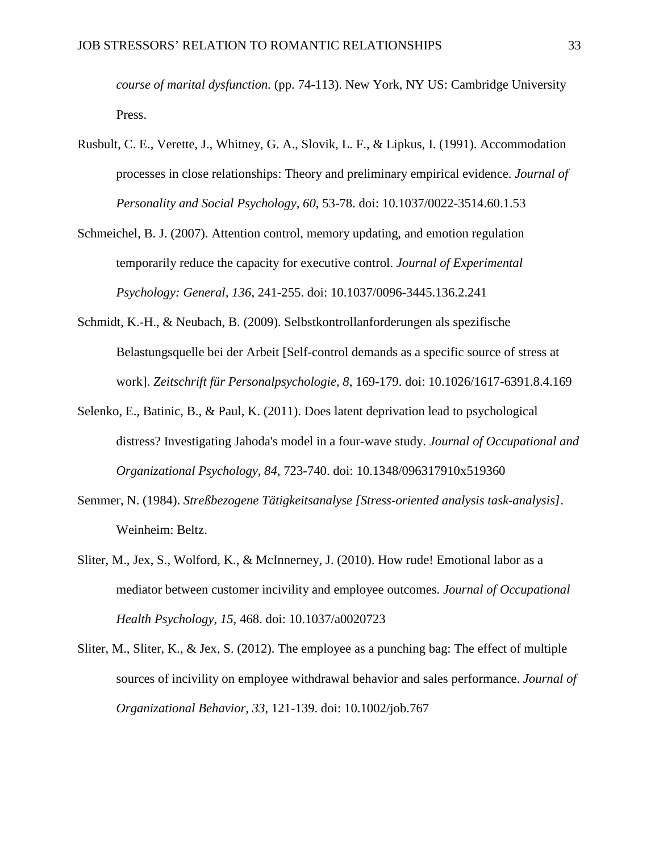*course of marital dysfunction.* (pp. 74-113). New York, NY US: Cambridge University Press.

- <span id="page-32-0"></span>Rusbult, C. E., Verette, J., Whitney, G. A., Slovik, L. F., & Lipkus, I. (1991). Accommodation processes in close relationships: Theory and preliminary empirical evidence. *Journal of Personality and Social Psychology, 60*, 53-78. doi: 10.1037/0022-3514.60.1.53
- <span id="page-32-1"></span>Schmeichel, B. J. (2007). Attention control, memory updating, and emotion regulation temporarily reduce the capacity for executive control. *Journal of Experimental Psychology: General, 136*, 241-255. doi: 10.1037/0096-3445.136.2.241
- <span id="page-32-2"></span>Schmidt, K.-H., & Neubach, B. (2009). Selbstkontrollanforderungen als spezifische Belastungsquelle bei der Arbeit [Self-control demands as a specific source of stress at work]. *Zeitschrift für Personalpsychologie, 8*, 169-179. doi: 10.1026/1617-6391.8.4.169
- <span id="page-32-3"></span>Selenko, E., Batinic, B., & Paul, K. (2011). Does latent deprivation lead to psychological distress? Investigating Jahoda's model in a four-wave study. *Journal of Occupational and Organizational Psychology, 84*, 723-740. doi: 10.1348/096317910x519360
- <span id="page-32-4"></span>Semmer, N. (1984). *Streßbezogene Tätigkeitsanalyse [Stress-oriented analysis task-analysis]*. Weinheim: Beltz.
- <span id="page-32-6"></span>Sliter, M., Jex, S., Wolford, K., & McInnerney, J. (2010). How rude! Emotional labor as a mediator between customer incivility and employee outcomes. *Journal of Occupational Health Psychology, 15*, 468. doi: 10.1037/a0020723
- <span id="page-32-5"></span>Sliter, M., Sliter, K., & Jex, S. (2012). The employee as a punching bag: The effect of multiple sources of incivility on employee withdrawal behavior and sales performance. *Journal of Organizational Behavior, 33*, 121-139. doi: 10.1002/job.767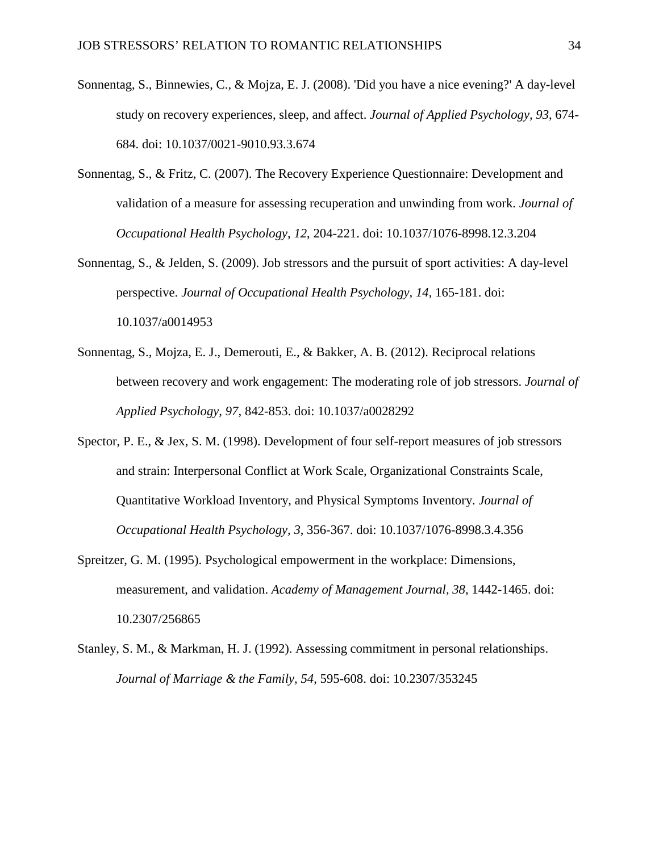- <span id="page-33-5"></span>Sonnentag, S., Binnewies, C., & Mojza, E. J. (2008). 'Did you have a nice evening?' A day-level study on recovery experiences, sleep, and affect. *Journal of Applied Psychology, 93*, 674- 684. doi: 10.1037/0021-9010.93.3.674
- <span id="page-33-0"></span>Sonnentag, S., & Fritz, C. (2007). The Recovery Experience Questionnaire: Development and validation of a measure for assessing recuperation and unwinding from work. *Journal of Occupational Health Psychology, 12*, 204-221. doi: 10.1037/1076-8998.12.3.204
- <span id="page-33-6"></span>Sonnentag, S., & Jelden, S. (2009). Job stressors and the pursuit of sport activities: A day-level perspective. *Journal of Occupational Health Psychology, 14*, 165-181. doi: 10.1037/a0014953
- <span id="page-33-1"></span>Sonnentag, S., Mojza, E. J., Demerouti, E., & Bakker, A. B. (2012). Reciprocal relations between recovery and work engagement: The moderating role of job stressors. *Journal of Applied Psychology, 97*, 842-853. doi: 10.1037/a0028292
- <span id="page-33-2"></span>Spector, P. E., & Jex, S. M. (1998). Development of four self-report measures of job stressors and strain: Interpersonal Conflict at Work Scale, Organizational Constraints Scale, Quantitative Workload Inventory, and Physical Symptoms Inventory. *Journal of Occupational Health Psychology, 3*, 356-367. doi: 10.1037/1076-8998.3.4.356
- <span id="page-33-3"></span>Spreitzer, G. M. (1995). Psychological empowerment in the workplace: Dimensions, measurement, and validation. *Academy of Management Journal, 38*, 1442-1465. doi: 10.2307/256865
- <span id="page-33-4"></span>Stanley, S. M., & Markman, H. J. (1992). Assessing commitment in personal relationships. *Journal of Marriage & the Family, 54*, 595-608. doi: 10.2307/353245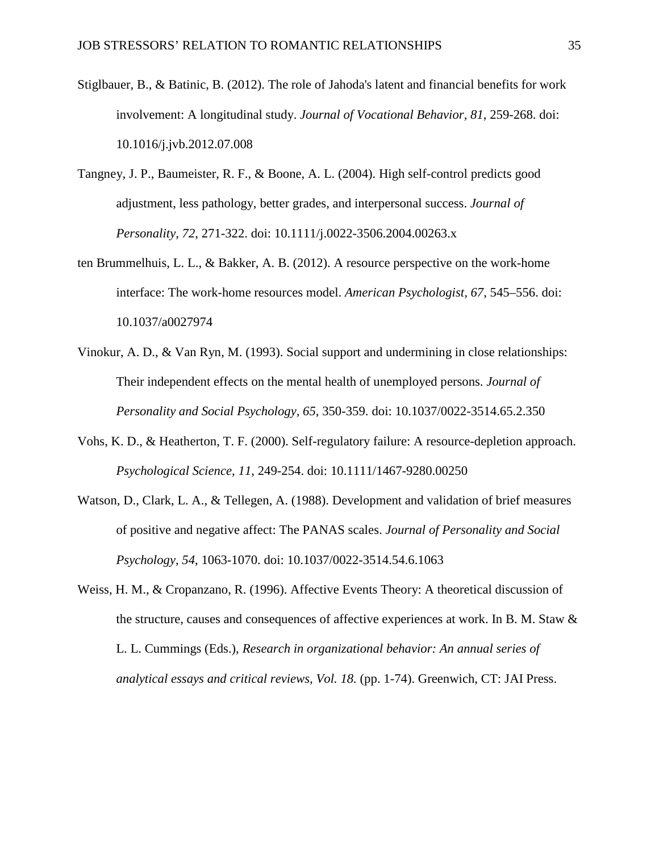- <span id="page-34-1"></span>Stiglbauer, B., & Batinic, B. (2012). The role of Jahoda's latent and financial benefits for work involvement: A longitudinal study. *Journal of Vocational Behavior, 81*, 259-268. doi: 10.1016/j.jvb.2012.07.008
- <span id="page-34-2"></span>Tangney, J. P., Baumeister, R. F., & Boone, A. L. (2004). High self-control predicts good adjustment, less pathology, better grades, and interpersonal success. *Journal of Personality, 72*, 271-322. doi: 10.1111/j.0022-3506.2004.00263.x
- <span id="page-34-5"></span>ten Brummelhuis, L. L., & Bakker, A. B. (2012). A resource perspective on the work-home interface: The work-home resources model. *American Psychologist, 67*, 545–556. doi: 10.1037/a0027974
- <span id="page-34-0"></span>Vinokur, A. D., & Van Ryn, M. (1993). Social support and undermining in close relationships: Their independent effects on the mental health of unemployed persons. *Journal of Personality and Social Psychology, 65*, 350-359. doi: 10.1037/0022-3514.65.2.350
- <span id="page-34-6"></span>Vohs, K. D., & Heatherton, T. F. (2000). Self-regulatory failure: A resource-depletion approach. *Psychological Science, 11*, 249-254. doi: 10.1111/1467-9280.00250
- <span id="page-34-3"></span>Watson, D., Clark, L. A., & Tellegen, A. (1988). Development and validation of brief measures of positive and negative affect: The PANAS scales. *Journal of Personality and Social Psychology, 54*, 1063-1070. doi: 10.1037/0022-3514.54.6.1063

<span id="page-34-4"></span>Weiss, H. M., & Cropanzano, R. (1996). Affective Events Theory: A theoretical discussion of the structure, causes and consequences of affective experiences at work. In B. M. Staw  $\&$ L. L. Cummings (Eds.), *Research in organizational behavior: An annual series of analytical essays and critical reviews, Vol. 18.* (pp. 1-74). Greenwich, CT: JAI Press.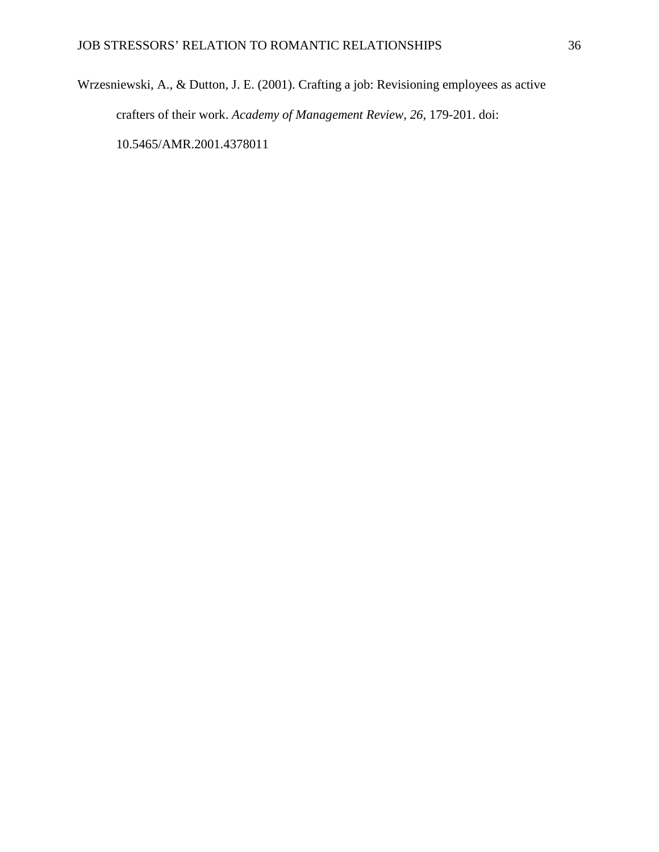<span id="page-35-0"></span>Wrzesniewski, A., & Dutton, J. E. (2001). Crafting a job: Revisioning employees as active crafters of their work. *Academy of Management Review, 26*, 179-201. doi: 10.5465/AMR.2001.4378011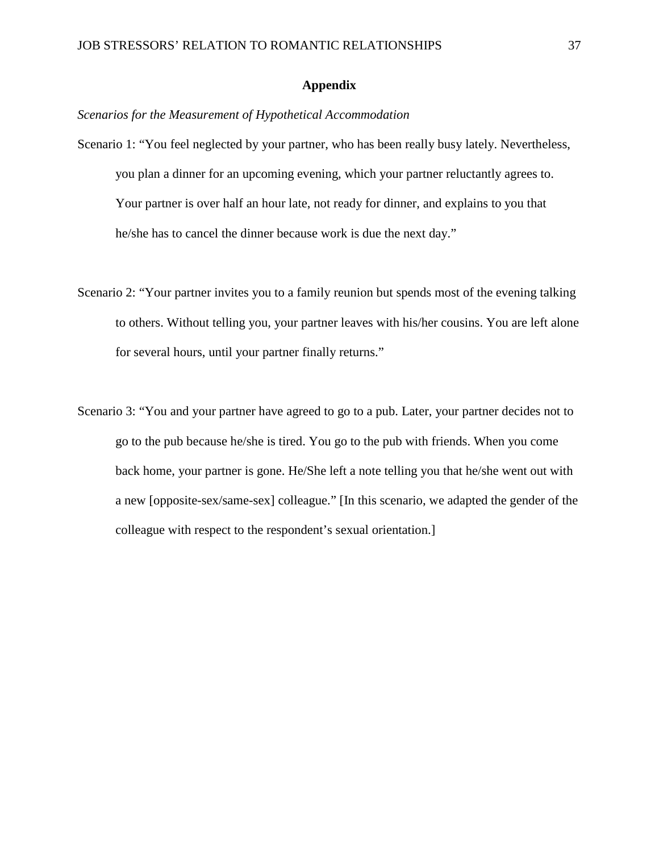## **Appendix**

## *Scenarios for the Measurement of Hypothetical Accommodation*

- Scenario 1: "You feel neglected by your partner, who has been really busy lately. Nevertheless, you plan a dinner for an upcoming evening, which your partner reluctantly agrees to. Your partner is over half an hour late, not ready for dinner, and explains to you that he/she has to cancel the dinner because work is due the next day."
- Scenario 2: "Your partner invites you to a family reunion but spends most of the evening talking to others. Without telling you, your partner leaves with his/her cousins. You are left alone for several hours, until your partner finally returns."
- Scenario 3: "You and your partner have agreed to go to a pub. Later, your partner decides not to go to the pub because he/she is tired. You go to the pub with friends. When you come back home, your partner is gone. He/She left a note telling you that he/she went out with a new [opposite-sex/same-sex] colleague." [In this scenario, we adapted the gender of the colleague with respect to the respondent's sexual orientation.]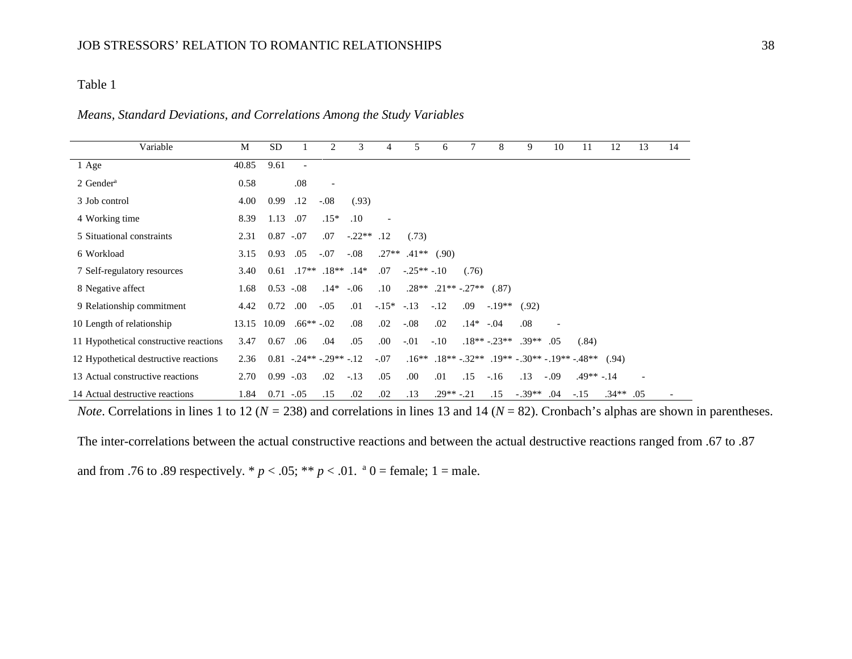*Means, Standard Deviations, and Correlations Among the Study Variables* 

| Variable                               | M     | <b>SD</b>     |                          | 2                               | 3        | 4             | 5            | 6                        |            | 8                                     | 9        | 10     | 11          | 12          | 13 | 14 |
|----------------------------------------|-------|---------------|--------------------------|---------------------------------|----------|---------------|--------------|--------------------------|------------|---------------------------------------|----------|--------|-------------|-------------|----|----|
| 1 Age                                  | 40.85 | 9.61          | $\overline{\phantom{a}}$ |                                 |          |               |              |                          |            |                                       |          |        |             |             |    |    |
| $2$ Gender <sup>a</sup>                | 0.58  |               | .08                      | $\overline{\phantom{a}}$        |          |               |              |                          |            |                                       |          |        |             |             |    |    |
| 3 Job control                          | 4.00  | 0.99          | .12                      | $-.08$                          | (.93)    |               |              |                          |            |                                       |          |        |             |             |    |    |
| 4 Working time                         | 8.39  | 1.13          | .07                      | $.15*$                          | .10      |               |              |                          |            |                                       |          |        |             |             |    |    |
| 5 Situational constraints              | 2.31  | $0.87 - 0.07$ |                          | .07                             | $-.22**$ | .12           | (.73)        |                          |            |                                       |          |        |             |             |    |    |
| 6 Workload                             | 3.15  | 0.93          | .05                      | $-.07$                          | $-.08$   | $.27**$       | $.41**$      | (.90)                    |            |                                       |          |        |             |             |    |    |
| 7 Self-regulatory resources            | 3.40  | 0.61          |                          | $.17**$ $.18**$ $.14*$          |          | .07           | $-.25**-.10$ |                          | (.76)      |                                       |          |        |             |             |    |    |
| 8 Negative affect                      | 1.68  | $0.53 - 0.08$ |                          | $.14*$                          | $-.06$   | .10           |              | $.28**$ $.21**$ $-.27**$ |            | (.87)                                 |          |        |             |             |    |    |
| 9 Relationship commitment              | 4.42  | 0.72          | .00                      | $-.05$                          | .01      | $-15^*$ $-13$ |              | $-12$                    | .09        | $-19**$                               | (.92)    |        |             |             |    |    |
| 10 Length of relationship              | 13.15 | 10.09         | $.66***-.02$             |                                 | .08      | .02           | $-.08$       | .02                      | $.14*-.04$ |                                       | .08      |        |             |             |    |    |
| 11 Hypothetical constructive reactions | 3.47  | 0.67          | .06                      | .04                             | .05      | .00.          | $-.01$       | $-.10$                   |            | $.18**-.23**$                         | $.39**$  | .05    | (.84)       |             |    |    |
| 12 Hypothetical destructive reactions  | 2.36  |               |                          | $0.81 - 0.24** - 0.29** - 0.12$ |          | $-.07$        | $.16**$      |                          |            | $.18**-.32**-.19**-.30**-.19**-.48**$ |          |        |             | (.94)       |    |    |
| 13 Actual constructive reactions       | 2.70  | $0.99 - 0.03$ |                          | .02                             | $-.13$   | .05           | .00          | .01                      | .15        | $-.16$                                | .13      | $-.09$ | $.49**-.14$ |             |    |    |
| 14 Actual destructive reactions        | 1.84  | $0.71 - 0.05$ |                          | .15                             | .02      | .02           | .13          | $.29**-.21$              |            | .15                                   | $-.39**$ | .04    | $-.15$      | $.34**$ .05 |    |    |

*Note*. Correlations in lines 1 to 12 (*N* = 238) and correlations in lines 13 and 14 (*N* = 82). Cronbach's alphas are shown in parentheses.

The inter-correlations between the actual constructive reactions and between the actual destructive reactions ranged from .67 to .87

and from .76 to .89 respectively.  $* p < .05$ ;  $** p < .01$ .  $* 0 = .01$  female; 1 = male.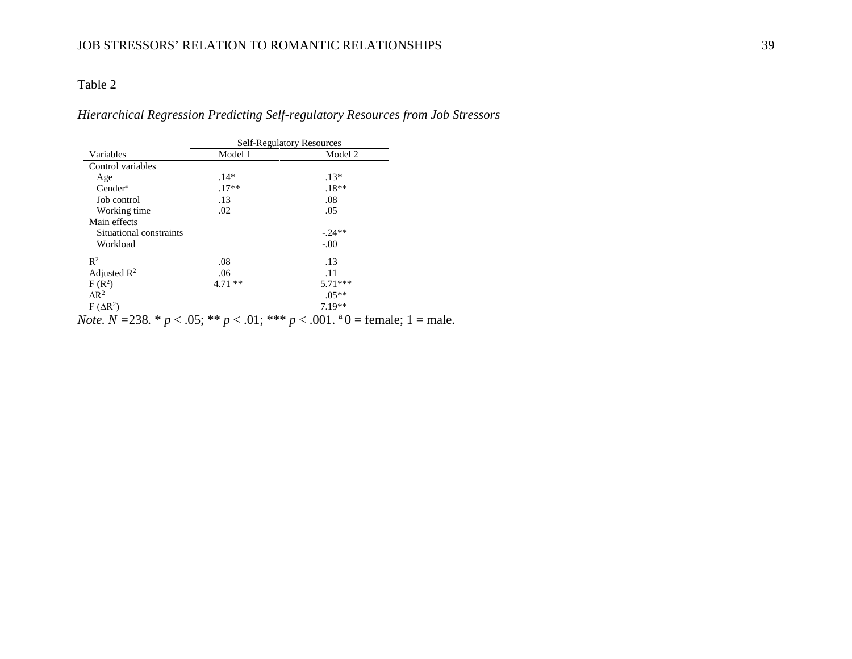## *Hierarchical Regression Predicting Self-regulatory Resources from Job Stressors*

|                         | <b>Self-Regulatory Resources</b> |           |  |  |  |  |  |
|-------------------------|----------------------------------|-----------|--|--|--|--|--|
| Variables               | Model 1                          | Model 2   |  |  |  |  |  |
| Control variables       |                                  |           |  |  |  |  |  |
| Age                     | $.14*$                           | $.13*$    |  |  |  |  |  |
| Gender <sup>a</sup>     | $.17**$                          | $.18**$   |  |  |  |  |  |
| Job control             | .13                              | .08       |  |  |  |  |  |
| Working time            | .02                              | .05       |  |  |  |  |  |
| Main effects            |                                  |           |  |  |  |  |  |
| Situational constraints |                                  | $-0.24**$ |  |  |  |  |  |
| Workload                |                                  | $-.00$    |  |  |  |  |  |
| $\mathbb{R}^2$          | .08                              | .13       |  |  |  |  |  |
| Adjusted $\mathbb{R}^2$ | .06                              | .11       |  |  |  |  |  |
| $F(R^2)$                | $4.71**$                         | $5.71***$ |  |  |  |  |  |
| $\Delta$ R <sup>2</sup> |                                  | $.05**$   |  |  |  |  |  |
| $F(\Delta R^2)$         |                                  | $7.19**$  |  |  |  |  |  |

*Note.*  $N = 238$ .  $\ast p < .05$ ;  $\ast \ast p < .01$ ;  $\ast \ast \ast p < .001$ .  $\ast 0 = \text{female}$ ; 1 = male.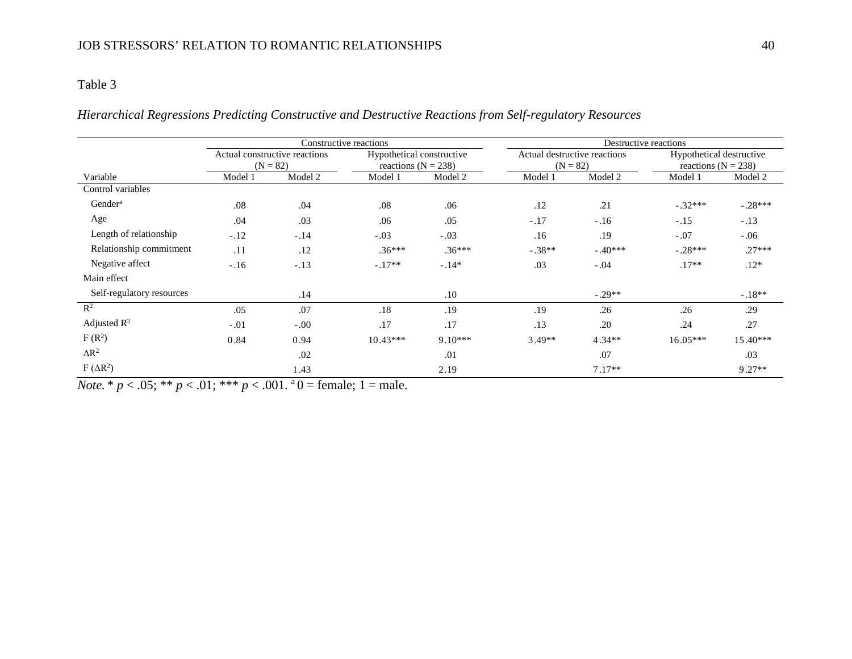## *Hierarchical Regressions Predicting Constructive and Destructive Reactions from Self-regulatory Resources*

|                           |                                             | Constructive reactions |                                                      |           | Destructive reactions |                                            |                                                     |           |  |  |
|---------------------------|---------------------------------------------|------------------------|------------------------------------------------------|-----------|-----------------------|--------------------------------------------|-----------------------------------------------------|-----------|--|--|
|                           | Actual constructive reactions<br>$(N = 82)$ |                        | Hypothetical constructive<br>reactions ( $N = 238$ ) |           |                       | Actual destructive reactions<br>$(N = 82)$ | Hypothetical destructive<br>reactions ( $N = 238$ ) |           |  |  |
| Variable                  | Model 2<br>Model 1                          |                        | Model 2<br>Model 1                                   |           | Model 1               | Model 2                                    | Model 1                                             | Model 2   |  |  |
| Control variables         |                                             |                        |                                                      |           |                       |                                            |                                                     |           |  |  |
| Gender <sup>a</sup>       | .08                                         | .04                    | .08                                                  | .06       | .12                   | .21                                        | $-.32***$                                           | $-.28***$ |  |  |
| Age                       | .04                                         | .03                    | .06                                                  | .05       | $-.17$                | $-.16$                                     | $-.15$                                              | $-.13$    |  |  |
| Length of relationship    | $-.12$                                      | $-.14$                 | $-.03$                                               | $-.03$    | .16                   | .19                                        | $-.07$                                              | $-.06$    |  |  |
| Relationship commitment   | .11                                         | .12                    | $.36***$                                             | $.36***$  | $-.38**$              | $-.40***$                                  | $-.28***$                                           | $.27***$  |  |  |
| Negative affect           | $-.16$                                      | $-.13$                 | $-.17**$                                             | $-.14*$   | .03                   | $-.04$                                     | $.17**$                                             | $.12*$    |  |  |
| Main effect               |                                             |                        |                                                      |           |                       |                                            |                                                     |           |  |  |
| Self-regulatory resources |                                             | .14                    |                                                      | .10       |                       | $-.29**$                                   |                                                     | $-.18**$  |  |  |
| $\mathbb{R}^2$            | .05                                         | .07                    | .18                                                  | .19       | .19                   | .26                                        | .26                                                 | .29       |  |  |
| Adjusted $\mathbb{R}^2$   | $-.01$                                      | $-.00$                 | .17                                                  | .17       | .13                   | .20                                        | .24                                                 | .27       |  |  |
| $F(R^2)$                  | 0.84                                        | 0.94                   | $10.43***$                                           | $9.10***$ | $3.49**$              | $4.34**$                                   | $16.05***$                                          | 15.40***  |  |  |
| $\Delta R^2$              |                                             | .02                    |                                                      | .01       |                       | .07                                        |                                                     | .03       |  |  |
| $F(\Delta R^2)$           |                                             | 1.43                   |                                                      | 2.19      |                       | $7.17**$                                   |                                                     | $9.27**$  |  |  |

*Note.* \*  $p < .05$ ; \*\*  $p < .01$ ; \*\*\*  $p < .001$ . <sup>a</sup> $0 =$  female; 1 = male.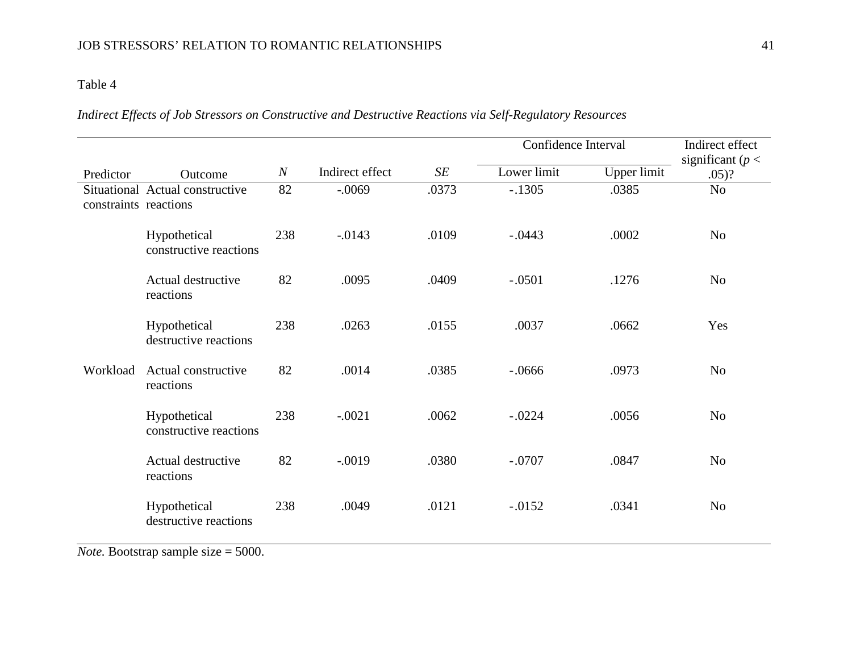*Indirect Effects of Job Stressors on Constructive and Destructive Reactions via Self-Regulatory Resources*

|                       |                                        |                  |                 |       | Confidence Interval | Indirect effect<br>significant ( $p <$ |                |
|-----------------------|----------------------------------------|------------------|-----------------|-------|---------------------|----------------------------------------|----------------|
| Predictor             | Outcome                                | $\boldsymbol{N}$ | Indirect effect | SE    | Lower limit         | Upper limit                            | $.05)$ ?       |
| constraints reactions | Situational Actual constructive        | 82               | $-.0069$        | .0373 | $-.1305$            | .0385                                  | N <sub>o</sub> |
|                       | Hypothetical<br>constructive reactions | 238              | $-0.0143$       | .0109 | $-.0443$            | .0002                                  | N <sub>o</sub> |
|                       | Actual destructive<br>reactions        | 82               | .0095           | .0409 | $-.0501$            | .1276                                  | N <sub>o</sub> |
|                       | Hypothetical<br>destructive reactions  | 238              | .0263           | .0155 | .0037               | .0662                                  | Yes            |
| Workload              | Actual constructive<br>reactions       | 82               | .0014           | .0385 | $-.0666$            | .0973                                  | N <sub>o</sub> |
|                       | Hypothetical<br>constructive reactions | 238              | $-.0021$        | .0062 | $-.0224$            | .0056                                  | N <sub>o</sub> |
|                       | Actual destructive<br>reactions        | 82               | $-.0019$        | .0380 | $-.0707$            | .0847                                  | N <sub>o</sub> |
|                       | Hypothetical<br>destructive reactions  | 238              | .0049           | .0121 | $-.0152$            | .0341                                  | N <sub>o</sub> |

*Note.* Bootstrap sample size = 5000.